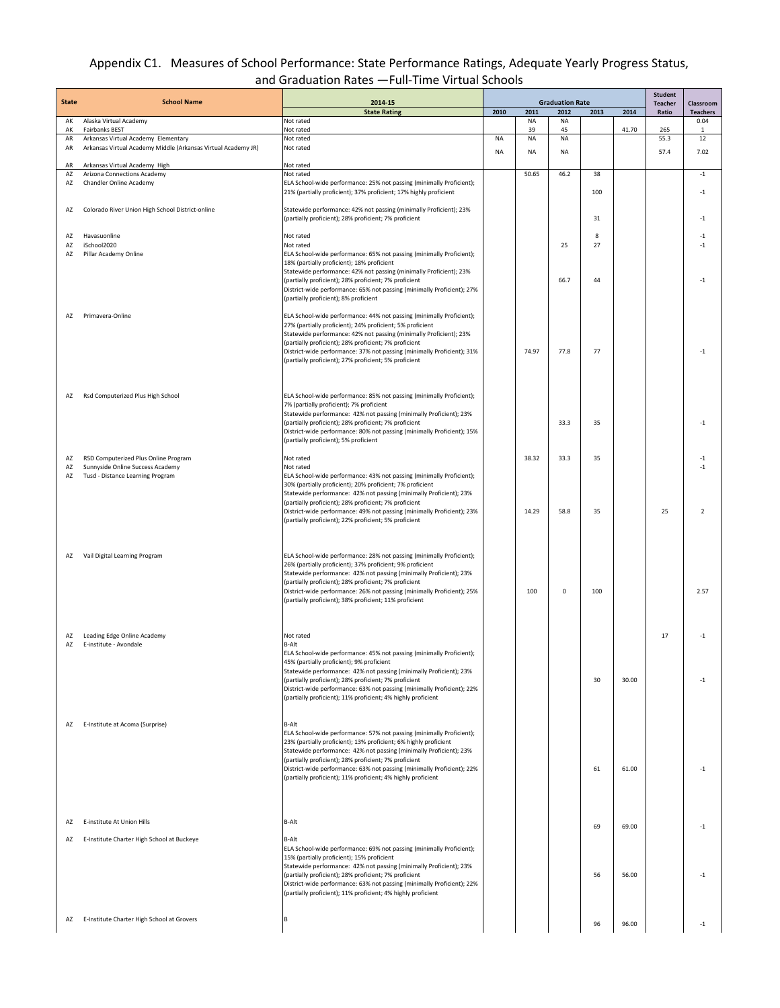## Appendix C1. Measures of School Performance: State Performance Ratings, Adequate Yearly Progress Status, and Graduation Rates —Full-Time Virtual Schools

| <b>State</b> | <b>School Name</b>                                                       | 2014-15                                                                                                                                | <b>Graduation Rate</b> |          |                 |      |       | <b>Student</b><br>Teacher | Classroom       |
|--------------|--------------------------------------------------------------------------|----------------------------------------------------------------------------------------------------------------------------------------|------------------------|----------|-----------------|------|-------|---------------------------|-----------------|
|              |                                                                          | <b>State Rating</b>                                                                                                                    | 2010                   | 2011     | 2012            | 2013 | 2014  | Ratio                     | <b>Teachers</b> |
| AK<br>AK     | Alaska Virtual Academy<br><b>Fairbanks BEST</b>                          | Not rated<br>Not rated                                                                                                                 |                        | ΝA<br>39 | <b>NA</b><br>45 |      | 41.70 | 265                       | 0.04            |
| AR           | Arkansas Virtual Academy Elementary                                      | Not rated                                                                                                                              | <b>NA</b>              | NA       | <b>NA</b>       |      |       | 55.3                      | 1<br>12         |
| AR           | Arkansas Virtual Academy Middle (Arkansas Virtual Academy JR)            | Not rated                                                                                                                              | <b>NA</b>              | NA       | <b>NA</b>       |      |       | 57.4                      | 7.02            |
| AR           | Arkansas Virtual Academy High                                            | Not rated                                                                                                                              |                        |          |                 |      |       |                           |                 |
| AZ           | Arizona Connections Academy                                              | Not rated                                                                                                                              |                        | 50.65    | 46.2            | 38   |       |                           | $^{\rm -1}$     |
| AZ           | Chandler Online Academy                                                  | ELA School-wide performance: 25% not passing (minimally Proficient);                                                                   |                        |          |                 |      |       |                           |                 |
|              |                                                                          | 21% (partially proficient); 37% proficient; 17% highly proficient                                                                      |                        |          |                 | 100  |       |                           | $-1$            |
| AZ           | Colorado River Union High School District-online                         | Statewide performance: 42% not passing (minimally Proficient); 23%                                                                     |                        |          |                 |      |       |                           |                 |
|              |                                                                          | (partially proficient); 28% proficient; 7% proficient                                                                                  |                        |          |                 | 31   |       |                           | $-1$            |
| AZ           | Havasuonline                                                             | Not rated                                                                                                                              |                        |          |                 | 8    |       |                           | $-1$            |
| AZ           | iSchool2020                                                              | Not rated                                                                                                                              |                        |          | 25              | 27   |       |                           | $-1$            |
| AZ           | Pillar Academy Online                                                    | ELA School-wide performance: 65% not passing (minimally Proficient);<br>18% (partially proficient); 18% proficient                     |                        |          |                 |      |       |                           |                 |
|              |                                                                          | Statewide performance: 42% not passing (minimally Proficient); 23%                                                                     |                        |          |                 |      |       |                           |                 |
|              |                                                                          | (partially proficient); 28% proficient; 7% proficient                                                                                  |                        |          | 66.7            | 44   |       |                           | $^{\rm -1}$     |
|              |                                                                          | District-wide performance: 65% not passing (minimally Proficient); 27%<br>(partially proficient); 8% proficient                        |                        |          |                 |      |       |                           |                 |
|              |                                                                          |                                                                                                                                        |                        |          |                 |      |       |                           |                 |
| AZ           | Primavera-Online                                                         | ELA School-wide performance: 44% not passing (minimally Proficient);                                                                   |                        |          |                 |      |       |                           |                 |
|              |                                                                          | 27% (partially proficient); 24% proficient; 5% proficient<br>Statewide performance: 42% not passing (minimally Proficient); 23%        |                        |          |                 |      |       |                           |                 |
|              |                                                                          | (partially proficient); 28% proficient; 7% proficient                                                                                  |                        |          |                 |      |       |                           |                 |
|              |                                                                          | District-wide performance: 37% not passing (minimally Proficient); 31%<br>(partially proficient); 27% proficient; 5% proficient        |                        | 74.97    | 77.8            | 77   |       |                           | $-1$            |
|              |                                                                          |                                                                                                                                        |                        |          |                 |      |       |                           |                 |
|              |                                                                          |                                                                                                                                        |                        |          |                 |      |       |                           |                 |
| AZ           | Rsd Computerized Plus High School                                        | ELA School-wide performance: 85% not passing (minimally Proficient);                                                                   |                        |          |                 |      |       |                           |                 |
|              |                                                                          | 7% (partially proficient); 7% proficient                                                                                               |                        |          |                 |      |       |                           |                 |
|              |                                                                          | Statewide performance: 42% not passing (minimally Proficient); 23%                                                                     |                        |          |                 |      |       |                           |                 |
|              |                                                                          | (partially proficient); 28% proficient; 7% proficient<br>District-wide performance: 80% not passing (minimally Proficient); 15%        |                        |          | 33.3            | 35   |       |                           | $-1$            |
|              |                                                                          | (partially proficient); 5% proficient                                                                                                  |                        |          |                 |      |       |                           |                 |
| AZ           |                                                                          | Not rated                                                                                                                              |                        | 38.32    | 33.3            | 35   |       |                           | $^{\mbox{-}1}$  |
| AZ           | RSD Computerized Plus Online Program<br>Sunnyside Online Success Academy | Not rated                                                                                                                              |                        |          |                 |      |       |                           | $-1$            |
| AZ           | Tusd - Distance Learning Program                                         | ELA School-wide performance: 43% not passing (minimally Proficient);                                                                   |                        |          |                 |      |       |                           |                 |
|              |                                                                          | 30% (partially proficient); 20% proficient; 7% proficient<br>Statewide performance: 42% not passing (minimally Proficient); 23%        |                        |          |                 |      |       |                           |                 |
|              |                                                                          | (partially proficient); 28% proficient; 7% proficient                                                                                  |                        |          |                 |      |       |                           |                 |
|              |                                                                          | District-wide performance: 49% not passing (minimally Proficient); 23%                                                                 |                        | 14.29    | 58.8            | 35   |       | 25                        | $\overline{2}$  |
|              |                                                                          | (partially proficient); 22% proficient; 5% proficient                                                                                  |                        |          |                 |      |       |                           |                 |
|              |                                                                          |                                                                                                                                        |                        |          |                 |      |       |                           |                 |
|              |                                                                          |                                                                                                                                        |                        |          |                 |      |       |                           |                 |
| AZ           | Vail Digital Learning Program                                            | ELA School-wide performance: 28% not passing (minimally Proficient);<br>26% (partially proficient); 37% proficient; 9% proficient      |                        |          |                 |      |       |                           |                 |
|              |                                                                          | Statewide performance: 42% not passing (minimally Proficient); 23%                                                                     |                        |          |                 |      |       |                           |                 |
|              |                                                                          | (partially proficient); 28% proficient; 7% proficient                                                                                  |                        | 100      | $\mathbf 0$     | 100  |       |                           | 2.57            |
|              |                                                                          | District-wide performance: 26% not passing (minimally Proficient); 25%<br>(partially proficient); 38% proficient; 11% proficient       |                        |          |                 |      |       |                           |                 |
|              |                                                                          |                                                                                                                                        |                        |          |                 |      |       |                           |                 |
|              |                                                                          |                                                                                                                                        |                        |          |                 |      |       |                           |                 |
| AZ           | Leading Edge Online Academy                                              | Not rated                                                                                                                              |                        |          |                 |      |       | 17                        | $^{\rm -1}$     |
| AZ           | E-institute - Avondale                                                   | B-Alt                                                                                                                                  |                        |          |                 |      |       |                           |                 |
|              |                                                                          | ELA School-wide performance: 45% not passing (minimally Proficient);<br>45% (partially proficient); 9% proficient                      |                        |          |                 |      |       |                           |                 |
|              |                                                                          | Statewide performance: 42% not passing (minimally Proficient); 23%                                                                     |                        |          |                 |      |       |                           |                 |
|              |                                                                          | (partially proficient); 28% proficient; 7% proficient                                                                                  |                        |          |                 | 30   | 30.00 |                           | $^{\rm -1}$     |
|              |                                                                          | District-wide performance: 63% not passing (minimally Proficient); 22%<br>(partially proficient); 11% proficient; 4% highly proficient |                        |          |                 |      |       |                           |                 |
|              |                                                                          |                                                                                                                                        |                        |          |                 |      |       |                           |                 |
| AZ           | E-Institute at Acoma (Surprise)                                          | B-Alt                                                                                                                                  |                        |          |                 |      |       |                           |                 |
|              |                                                                          | ELA School-wide performance: 57% not passing (minimally Proficient);                                                                   |                        |          |                 |      |       |                           |                 |
|              |                                                                          | 23% (partially proficient); 13% proficient; 6% highly proficient                                                                       |                        |          |                 |      |       |                           |                 |
|              |                                                                          | Statewide performance: 42% not passing (minimally Proficient); 23%<br>(partially proficient); 28% proficient; 7% proficient            |                        |          |                 |      |       |                           |                 |
|              |                                                                          | District-wide performance: 63% not passing (minimally Proficient); 22%                                                                 |                        |          |                 | 61   | 61.00 |                           | $-1$            |
|              |                                                                          | (partially proficient); 11% proficient; 4% highly proficient                                                                           |                        |          |                 |      |       |                           |                 |
|              |                                                                          |                                                                                                                                        |                        |          |                 |      |       |                           |                 |
|              |                                                                          |                                                                                                                                        |                        |          |                 |      |       |                           |                 |
|              | E-institute At Union Hills                                               | <b>B-Alt</b>                                                                                                                           |                        |          |                 |      |       |                           |                 |
| AZ           |                                                                          |                                                                                                                                        |                        |          |                 | 69   | 69.00 |                           | $-1$            |
| AZ           | E-Institute Charter High School at Buckeye                               | B-Alt                                                                                                                                  |                        |          |                 |      |       |                           |                 |
|              |                                                                          | ELA School-wide performance: 69% not passing (minimally Proficient);                                                                   |                        |          |                 |      |       |                           |                 |
|              |                                                                          | 15% (partially proficient); 15% proficient<br>Statewide performance: 42% not passing (minimally Proficient); 23%                       |                        |          |                 |      |       |                           |                 |
|              |                                                                          | (partially proficient); 28% proficient; 7% proficient                                                                                  |                        |          |                 | 56   | 56.00 |                           | $-1$            |
|              |                                                                          | District-wide performance: 63% not passing (minimally Proficient); 22%<br>(partially proficient); 11% proficient; 4% highly proficient |                        |          |                 |      |       |                           |                 |
|              |                                                                          |                                                                                                                                        |                        |          |                 |      |       |                           |                 |
|              |                                                                          |                                                                                                                                        |                        |          |                 |      |       |                           |                 |
|              | AZ E-Institute Charter High School at Grovers                            |                                                                                                                                        |                        |          |                 | 96   | 96.00 |                           | $-1$            |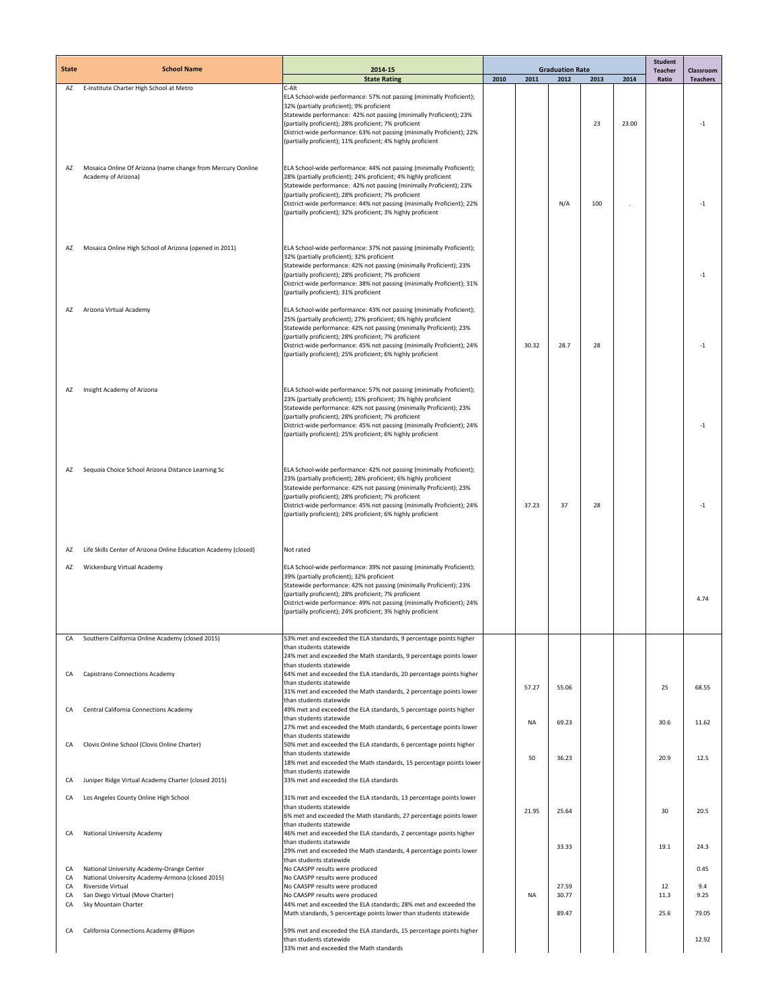| <b>State</b> | <b>School Name</b>                                                                            | 2014-15                                                                                                                                                                                                                                                                                                                                                                                                           | <b>Graduation Rate</b> |           |                |      | <b>Student</b><br><b>Teacher</b> | Classroom  |                 |
|--------------|-----------------------------------------------------------------------------------------------|-------------------------------------------------------------------------------------------------------------------------------------------------------------------------------------------------------------------------------------------------------------------------------------------------------------------------------------------------------------------------------------------------------------------|------------------------|-----------|----------------|------|----------------------------------|------------|-----------------|
|              |                                                                                               | <b>State Rating</b>                                                                                                                                                                                                                                                                                                                                                                                               | 2010                   | 2011      | 2012           | 2013 | 2014                             | Ratio      | <b>Teachers</b> |
| AZ           | E-Institute Charter High School at Metro                                                      | C-Alt<br>ELA School-wide performance: 57% not passing (minimally Proficient);<br>32% (partially proficient); 9% proficient<br>Statewide performance: 42% not passing (minimally Proficient); 23%<br>(partially proficient); 28% proficient; 7% proficient<br>District-wide performance: 63% not passing (minimally Proficient); 22%<br>(partially proficient); 11% proficient; 4% highly proficient               |                        |           |                | 23   | 23.00                            |            | $-1$            |
| AZ           | Mosaica Online Of Arizona (name change from Mercury Oonline<br>Academy of Arizona)            | ELA School-wide performance: 44% not passing (minimally Proficient);<br>28% (partially proficient); 24% proficient; 4% highly proficient<br>Statewide performance: 42% not passing (minimally Proficient); 23%<br>(partially proficient); 28% proficient; 7% proficient<br>District-wide performance: 44% not passing (minimally Proficient); 22%<br>(partially proficient); 32% proficient; 3% highly proficient |                        |           | N/A            | 100  |                                  |            | $-1$            |
| AZ           | Mosaica Online High School of Arizona (opened in 2011)                                        | ELA School-wide performance: 37% not passing (minimally Proficient);<br>32% (partially proficient); 32% proficient<br>Statewide performance: 42% not passing (minimally Proficient); 23%<br>(partially proficient); 28% proficient; 7% proficient<br>District-wide performance: 38% not passing (minimally Proficient); 31%<br>(partially proficient); 31% proficient                                             |                        |           |                |      |                                  |            | $-1$            |
| AZ           | Arizona Virtual Academy                                                                       | ELA School-wide performance: 43% not passing (minimally Proficient);<br>25% (partially proficient); 27% proficient; 6% highly proficient<br>Statewide performance: 42% not passing (minimally Proficient); 23%<br>(partially proficient); 28% proficient; 7% proficient<br>District-wide performance: 45% not passing (minimally Proficient); 24%<br>(partially proficient); 25% proficient; 6% highly proficient |                        | 30.32     | 28.7           | 28   |                                  |            | $-1$            |
| AZ           | Insight Academy of Arizona                                                                    | ELA School-wide performance: 57% not passing (minimally Proficient);<br>23% (partially proficient); 15% proficient; 3% highly proficient<br>Statewide performance: 42% not passing (minimally Proficient); 23%<br>(partially proficient); 28% proficient; 7% proficient<br>District-wide performance: 45% not passing (minimally Proficient); 24%<br>(partially proficient); 25% proficient; 6% highly proficient |                        |           |                |      |                                  |            | $-1$            |
| AZ           | Sequoia Choice School Arizona Distance Learning Sc                                            | ELA School-wide performance: 42% not passing (minimally Proficient);<br>23% (partially proficient); 28% proficient; 6% highly proficient<br>Statewide performance: 42% not passing (minimally Proficient); 23%<br>(partially proficient); 28% proficient; 7% proficient<br>District-wide performance: 45% not passing (minimally Proficient); 24%<br>(partially proficient); 24% proficient; 6% highly proficient |                        | 37.23     | 37             | 28   |                                  |            | $-1$            |
| AZ           | Life Skills Center of Arizona Online Education Academy (closed)                               | Not rated                                                                                                                                                                                                                                                                                                                                                                                                         |                        |           |                |      |                                  |            |                 |
|              |                                                                                               |                                                                                                                                                                                                                                                                                                                                                                                                                   |                        |           |                |      |                                  |            |                 |
| AZ           | Wickenburg Virtual Academy                                                                    | ELA School-wide performance: 39% not passing (minimally Proficient);<br>39% (partially proficient); 32% proficient<br>Statewide performance: 42% not passing (minimally Proficient); 23%<br>(partially proficient); 28% proficient; 7% proficient<br>District-wide performance: 49% not passing (minimally Proficient); 24%<br>(partially proficient); 24% proficient; 3% highly proficient                       |                        |           |                |      |                                  |            | 4.74            |
| CA           | Southern California Online Academy (closed 2015)                                              | 53% met and exceeded the ELA standards, 9 percentage points higher<br>than students statewide<br>24% met and exceeded the Math standards, 9 percentage points lower                                                                                                                                                                                                                                               |                        |           |                |      |                                  |            |                 |
| CA           | Capistrano Connections Academy                                                                | than students statewide<br>64% met and exceeded the ELA standards, 20 percentage points higher<br>than students statewide<br>31% met and exceeded the Math standards, 2 percentage points lower                                                                                                                                                                                                                   |                        | 57.27     | 55.06          |      |                                  | 25         | 68.55           |
| CA           | Central California Connections Academy                                                        | than students statewide<br>49% met and exceeded the ELA standards, 5 percentage points higher<br>than students statewide                                                                                                                                                                                                                                                                                          |                        | <b>NA</b> | 69.23          |      |                                  | 30.6       | 11.62           |
| CA           | Clovis Online School (Clovis Online Charter)                                                  | 27% met and exceeded the Math standards, 6 percentage points lower<br>than students statewide<br>50% met and exceeded the ELA standards, 6 percentage points higher<br>than students statewide                                                                                                                                                                                                                    |                        | 50        | 36.23          |      |                                  | 20.9       | 12.5            |
| CA           | Juniper Ridge Virtual Academy Charter (closed 2015)                                           | 18% met and exceeded the Math standards, 15 percentage points lower<br>than students statewide<br>33% met and exceeded the ELA standards                                                                                                                                                                                                                                                                          |                        |           |                |      |                                  |            |                 |
| CA           | Los Angeles County Online High School                                                         | 31% met and exceeded the ELA standards, 13 percentage points lower                                                                                                                                                                                                                                                                                                                                                |                        |           |                |      |                                  |            |                 |
|              |                                                                                               | than students statewide<br>6% met and exceeded the Math standards, 27 percentage points lower<br>than students statewide                                                                                                                                                                                                                                                                                          |                        | 21.95     | 25.64          |      |                                  | 30         | 20.5            |
| CA           | National University Academy                                                                   | 46% met and exceeded the ELA standards, 2 percentage points higher<br>than students statewide                                                                                                                                                                                                                                                                                                                     |                        |           | 33.33          |      |                                  | 19.1       | 24.3            |
|              |                                                                                               | 29% met and exceeded the Math standards, 4 percentage points lower<br>than students statewide                                                                                                                                                                                                                                                                                                                     |                        |           |                |      |                                  |            |                 |
| CA<br>CA     | National University Academy-Orange Center<br>National University Academy-Armona (closed 2015) | No CAASPP results were produced<br>No CAASPP results were produced                                                                                                                                                                                                                                                                                                                                                |                        |           |                |      |                                  |            | 0.45            |
| CA<br>CA     | Riverside Virtual<br>San Diego Virtual (Move Charter)                                         | No CAASPP results were produced<br>No CAASPP results were produced                                                                                                                                                                                                                                                                                                                                                |                        | NA        | 27.59<br>30.77 |      |                                  | 12<br>11.3 | 9.4<br>9.25     |
| CA           | Sky Mountain Charter                                                                          | 44% met and exceeded the ELA standards; 28% met and exceeded the<br>Math standards, 5 percentage points lower than students statewide                                                                                                                                                                                                                                                                             |                        |           | 89.47          |      |                                  | 25.6       | 79.05           |
| CA           | California Connections Academy @Ripon                                                         | 59% met and exceeded the ELA standards, 15 percentage points higher<br>than students statewide<br>33% met and exceeded the Math standards                                                                                                                                                                                                                                                                         |                        |           |                |      |                                  |            | 12.92           |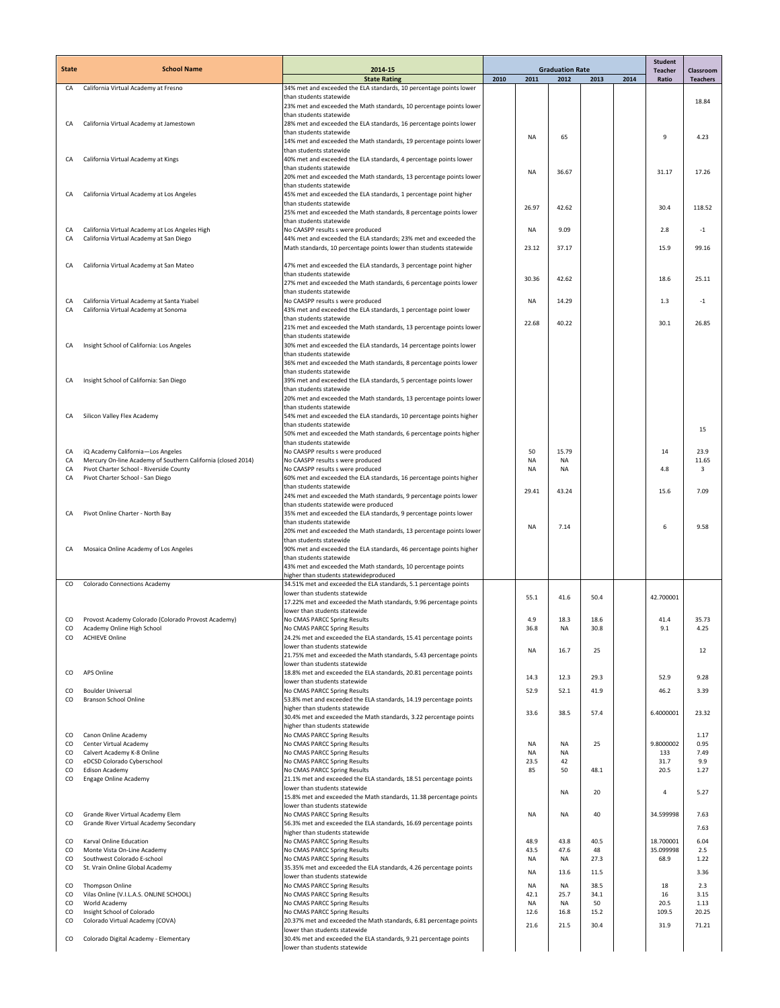| <b>State</b>  | <b>School Name</b>                                                                                      | 2014-15                                                                                                     | <b>Graduation Rate</b> |                        |                   |              | <b>Student</b><br><b>Teacher</b> | Classroom    |                 |
|---------------|---------------------------------------------------------------------------------------------------------|-------------------------------------------------------------------------------------------------------------|------------------------|------------------------|-------------------|--------------|----------------------------------|--------------|-----------------|
|               |                                                                                                         | <b>State Rating</b>                                                                                         | 2010                   | 2011                   | 2012              | 2013         | 2014                             | Ratio        | <b>Teachers</b> |
| CA            | California Virtual Academy at Fresno                                                                    | 34% met and exceeded the ELA standards, 10 percentage points lower<br>than students statewide               |                        |                        |                   |              |                                  |              |                 |
|               |                                                                                                         | 23% met and exceeded the Math standards, 10 percentage points lower                                         |                        |                        |                   |              |                                  |              | 18.84           |
|               |                                                                                                         | than students statewide                                                                                     |                        |                        |                   |              |                                  |              |                 |
| CA            | California Virtual Academy at Jamestown                                                                 | 28% met and exceeded the ELA standards, 16 percentage points lower<br>than students statewide               |                        |                        |                   |              |                                  |              |                 |
|               |                                                                                                         | 14% met and exceeded the Math standards, 19 percentage points lower                                         |                        | <b>NA</b>              | 65                |              |                                  | 9            | 4.23            |
| CA            | California Virtual Academy at Kings                                                                     | than students statewide<br>40% met and exceeded the ELA standards, 4 percentage points lower                |                        |                        |                   |              |                                  |              |                 |
|               |                                                                                                         | than students statewide                                                                                     |                        | <b>NA</b>              | 36.67             |              |                                  | 31.17        | 17.26           |
|               |                                                                                                         | 20% met and exceeded the Math standards, 13 percentage points lower                                         |                        |                        |                   |              |                                  |              |                 |
| CA            | California Virtual Academy at Los Angeles                                                               | than students statewide<br>45% met and exceeded the ELA standards, 1 percentage point higher                |                        |                        |                   |              |                                  |              |                 |
|               |                                                                                                         | than students statewide                                                                                     |                        | 26.97                  | 42.62             |              |                                  | 30.4         | 118.52          |
|               |                                                                                                         | 25% met and exceeded the Math standards, 8 percentage points lower<br>than students statewide               |                        |                        |                   |              |                                  |              |                 |
| CA            | California Virtual Academy at Los Angeles High                                                          | No CAASPP results s were produced                                                                           |                        | <b>NA</b>              | 9.09              |              |                                  | 2.8          | $-1$            |
| CA            | California Virtual Academy at San Diego                                                                 | 44% met and exceeded the ELA standards; 23% met and exceeded the                                            |                        | 23.12                  | 37.17             |              |                                  | 15.9         | 99.16           |
|               |                                                                                                         | Math standards, 10 percentage points lower than students statewide                                          |                        |                        |                   |              |                                  |              |                 |
| CA            | California Virtual Academy at San Mateo                                                                 | 47% met and exceeded the ELA standards, 3 percentage point higher                                           |                        |                        |                   |              |                                  |              |                 |
|               |                                                                                                         | than students statewide<br>27% met and exceeded the Math standards, 6 percentage points lower               |                        | 30.36                  | 42.62             |              |                                  | 18.6         | 25.11           |
|               |                                                                                                         | than students statewide                                                                                     |                        |                        |                   |              |                                  |              |                 |
| CA<br>CA      | California Virtual Academy at Santa Ysabel<br>California Virtual Academy at Sonoma                      | No CAASPP results s were produced<br>43% met and exceeded the ELA standards, 1 percentage point lower       |                        | <b>NA</b>              | 14.29             |              |                                  | 1.3          | $-1$            |
|               |                                                                                                         | than students statewide                                                                                     |                        | 22.68                  | 40.22             |              |                                  | 30.1         | 26.85           |
|               |                                                                                                         | 21% met and exceeded the Math standards, 13 percentage points lower                                         |                        |                        |                   |              |                                  |              |                 |
| CA            | Insight School of California: Los Angeles                                                               | than students statewide<br>30% met and exceeded the ELA standards, 14 percentage points lower               |                        |                        |                   |              |                                  |              |                 |
|               |                                                                                                         | than students statewide                                                                                     |                        |                        |                   |              |                                  |              |                 |
|               |                                                                                                         | 36% met and exceeded the Math standards, 8 percentage points lower<br>than students statewide               |                        |                        |                   |              |                                  |              |                 |
|               | Insight School of California: San Diego                                                                 | 39% met and exceeded the ELA standards, 5 percentage points lower                                           |                        |                        |                   |              |                                  |              |                 |
|               |                                                                                                         | than students statewide                                                                                     |                        |                        |                   |              |                                  |              |                 |
|               |                                                                                                         | 20% met and exceeded the Math standards, 13 percentage points lower<br>than students statewide              |                        |                        |                   |              |                                  |              |                 |
| CA            | Silicon Valley Flex Academy                                                                             | 54% met and exceeded the ELA standards, 10 percentage points higher                                         |                        |                        |                   |              |                                  |              |                 |
|               |                                                                                                         | than students statewide                                                                                     |                        |                        |                   |              |                                  |              | 15              |
|               |                                                                                                         | 50% met and exceeded the Math standards, 6 percentage points higher<br>than students statewide              |                        |                        |                   |              |                                  |              |                 |
| CA            | iQ Academy California-Los Angeles                                                                       | No CAASPP results s were produced                                                                           |                        | 50                     | 15.79             |              |                                  | 14           | 23.9            |
| CA<br>CA      | Mercury On-line Academy of Southern California (closed 2014)<br>Pivot Charter School - Riverside County | No CAASPP results s were produced<br>No CAASPP results s were produced                                      |                        | <b>NA</b><br><b>NA</b> | <b>NA</b><br>NA   |              |                                  | 4.8          | 11.65<br>3      |
| CA            | Pivot Charter School - San Diego                                                                        | 60% met and exceeded the ELA standards, 16 percentage points higher                                         |                        |                        |                   |              |                                  |              |                 |
|               |                                                                                                         | than students statewide                                                                                     |                        | 29.41                  | 43.24             |              |                                  | 15.6         | 7.09            |
|               |                                                                                                         | 24% met and exceeded the Math standards, 9 percentage points lower<br>than students statewide were produced |                        |                        |                   |              |                                  |              |                 |
| CA            | Pivot Online Charter - North Bay                                                                        | 35% met and exceeded the ELA standards, 9 percentage points lower                                           |                        |                        |                   |              |                                  |              |                 |
|               |                                                                                                         | than students statewide<br>20% met and exceeded the Math standards, 13 percentage points lower              |                        | <b>NA</b>              | 7.14              |              |                                  | 6            | 9.58            |
|               |                                                                                                         | than students statewide                                                                                     |                        |                        |                   |              |                                  |              |                 |
| CA            | Mosaica Online Academy of Los Angeles                                                                   | 90% met and exceeded the ELA standards, 46 percentage points higher<br>than students statewide              |                        |                        |                   |              |                                  |              |                 |
|               |                                                                                                         | 43% met and exceeded the Math standards, 10 percentage points                                               |                        |                        |                   |              |                                  |              |                 |
|               |                                                                                                         | higher than students statewideproduced                                                                      |                        |                        |                   |              |                                  |              |                 |
| CO            | Colorado Connections Academy                                                                            | 34.51% met and exceeded the ELA standards, 5.1 percentage points<br>lower than students statewide           |                        |                        |                   |              |                                  |              |                 |
|               |                                                                                                         | 17.22% met and exceeded the Math standards, 9.96 percentage points                                          |                        | 55.1                   | 41.6              | 50.4         |                                  | 42.700001    |                 |
| CO            | Provost Academy Colorado (Colorado Provost Academy)                                                     | lower than students statewide<br>No CMAS PARCC Spring Results                                               |                        | 4.9                    | 18.3              | 18.6         |                                  | 41.4         | 35.73           |
| co            | Academy Online High School                                                                              | No CMAS PARCC Spring Results                                                                                |                        | 36.8                   | ΝA                | 30.8         |                                  | 9.1          | 4.25            |
| CO            | <b>ACHIEVE Online</b>                                                                                   | 24.2% met and exceeded the ELA standards, 15.41 percentage points                                           |                        |                        |                   |              |                                  |              |                 |
|               |                                                                                                         | lower than students statewide<br>21.75% met and exceeded the Math standards, 5.43 percentage points         |                        | NA                     | 16.7              | 25           |                                  |              | 12              |
|               |                                                                                                         | lower than students statewide                                                                               |                        |                        |                   |              |                                  |              |                 |
| <sub>co</sub> | APS Online                                                                                              | 18.8% met and exceeded the ELA standards, 20.81 percentage points<br>lower than students statewide          |                        | 14.3                   | 12.3              | 29.3         |                                  | 52.9         | 9.28            |
| CO            | <b>Boulder Universal</b>                                                                                | No CMAS PARCC Spring Results                                                                                |                        | 52.9                   | 52.1              | 41.9         |                                  | 46.2         | 3.39            |
| CO            | <b>Branson School Online</b>                                                                            | 53.8% met and exceeded the ELA standards, 14.19 percentage points                                           |                        |                        |                   |              |                                  |              |                 |
|               |                                                                                                         | higher than students statewide<br>30.4% met and exceeded the Math standards, 3.22 percentage points         |                        | 33.6                   | 38.5              | 57.4         |                                  | 6.4000001    | 23.32           |
|               |                                                                                                         | higher than students statewide                                                                              |                        |                        |                   |              |                                  |              |                 |
| CO<br>CO      | Canon Online Academy<br>Center Virtual Academy                                                          | No CMAS PARCC Spring Results<br>No CMAS PARCC Spring Results                                                |                        | <b>NA</b>              | NA                | 25           |                                  | 9.8000002    | 1.17<br>0.95    |
| CO            | Calvert Academy K-8 Online                                                                              | No CMAS PARCC Spring Results                                                                                |                        | <b>NA</b>              | NA                |              |                                  | 133          | 7.49            |
| CO<br>CO      | eDCSD Colorado Cyberschool                                                                              | No CMAS PARCC Spring Results<br>No CMAS PARCC Spring Results                                                |                        | 23.5<br>85             | 42<br>50          | 48.1         |                                  | 31.7<br>20.5 | 9.9<br>1.27     |
| CO            | <b>Edison Academy</b><br>Engage Online Academy                                                          | 21.1% met and exceeded the ELA standards, 18.51 percentage points                                           |                        |                        |                   |              |                                  |              |                 |
|               |                                                                                                         | lower than students statewide                                                                               |                        |                        | NA                | 20           |                                  | $\sqrt{4}$   | 5.27            |
|               |                                                                                                         | 15.8% met and exceeded the Math standards, 11.38 percentage points<br>lower than students statewide         |                        |                        |                   |              |                                  |              |                 |
| <sub>co</sub> | Grande River Virtual Academy Elem                                                                       | No CMAS PARCC Spring Results                                                                                |                        | NA                     | NA                | 40           |                                  | 34.599998    | 7.63            |
| CO            | Grande River Virtual Academy Secondary                                                                  | 56.3% met and exceeded the ELA standards, 16.69 percentage points<br>higher than students statewide         |                        |                        |                   |              |                                  |              | 7.63            |
| CO            | Karval Online Education                                                                                 | No CMAS PARCC Spring Results                                                                                |                        | 48.9                   | 43.8              | 40.5         |                                  | 18.700001    | 6.04            |
| CO            | Monte Vista On-Line Academy                                                                             | No CMAS PARCC Spring Results                                                                                |                        | 43.5                   | 47.6              | 48           |                                  | 35.099998    | 2.5             |
| CO<br>CO      | Southwest Colorado E-school<br>St. Vrain Online Global Academy                                          | No CMAS PARCC Spring Results<br>35.35% met and exceeded the ELA standards, 4.26 percentage points           |                        | NA                     | <b>NA</b>         | 27.3         |                                  | 68.9         | 1.22            |
|               |                                                                                                         | lower than students statewide                                                                               |                        | <b>NA</b>              | 13.6              | 11.5         |                                  |              | 3.36            |
| CO<br>CO      | Thompson Online<br>Vilas Online (V.I.L.A.S. ONLINE SCHOOL)                                              | No CMAS PARCC Spring Results<br>No CMAS PARCC Spring Results                                                |                        | <b>NA</b><br>42.1      | <b>NA</b><br>25.7 | 38.5<br>34.1 |                                  | 18<br>16     | 2.3<br>3.15     |
| CO            | World Academy                                                                                           | No CMAS PARCC Spring Results                                                                                |                        | <b>NA</b>              | <b>NA</b>         | 50           |                                  | 20.5         | 1.13            |
| CO            | Insight School of Colorado                                                                              | No CMAS PARCC Spring Results                                                                                |                        | 12.6                   | 16.8              | 15.2         |                                  | 109.5        | 20.25           |
| CO            | Colorado Virtual Academy (COVA)                                                                         | 20.37% met and exceeded the Math standards, 6.81 percentage points<br>lower than students statewide         |                        | 21.6                   | 21.5              | 30.4         |                                  | 31.9         | 71.21           |
| <sub>co</sub> | Colorado Digital Academy - Elementary                                                                   | 30.4% met and exceeded the ELA standards, 9.21 percentage points                                            |                        |                        |                   |              |                                  |              |                 |
|               |                                                                                                         | lower than students statewide                                                                               |                        |                        |                   |              |                                  |              |                 |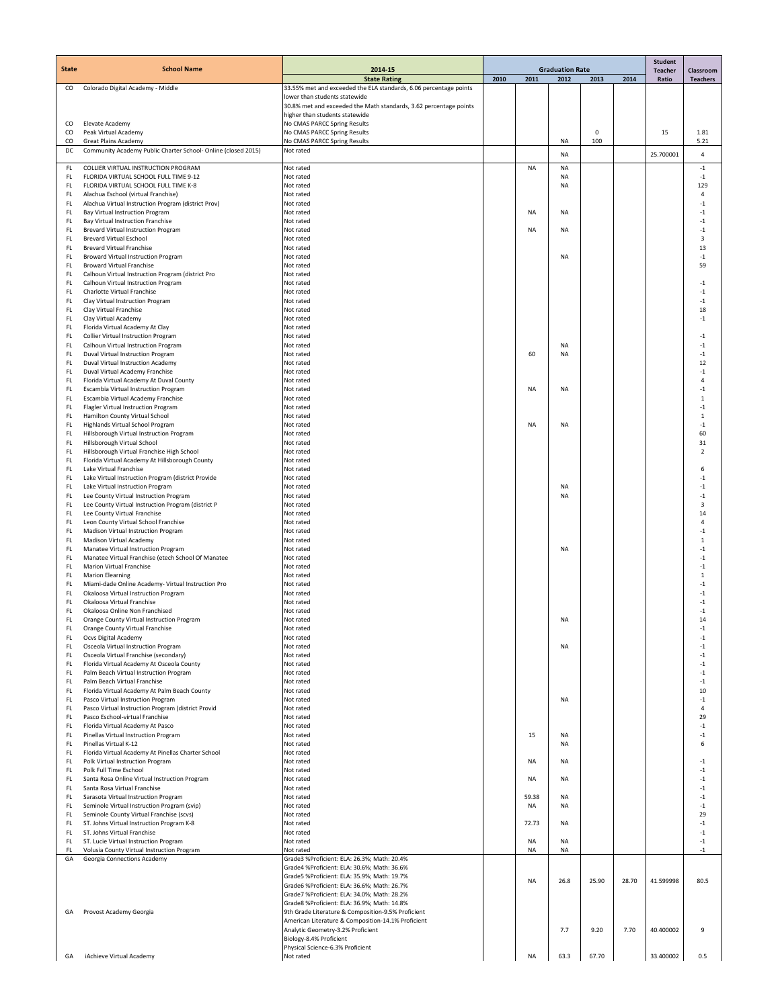| <b>State</b> | <b>School Name</b>                                                                           | 2014-15                                                                                            | <b>Graduation Rate</b> |           |                 |                    |       | <b>Student</b>          |                              |
|--------------|----------------------------------------------------------------------------------------------|----------------------------------------------------------------------------------------------------|------------------------|-----------|-----------------|--------------------|-------|-------------------------|------------------------------|
|              |                                                                                              | <b>State Rating</b>                                                                                | 2010                   | 2011      | 2012            | 2013               | 2014  | <b>Teacher</b><br>Ratio | Classroom<br><b>Teachers</b> |
| CO           | Colorado Digital Academy - Middle                                                            | 33.55% met and exceeded the ELA standards, 6.06 percentage points                                  |                        |           |                 |                    |       |                         |                              |
|              |                                                                                              | lower than students statewide<br>30.8% met and exceeded the Math standards, 3.62 percentage points |                        |           |                 |                    |       |                         |                              |
|              |                                                                                              | higher than students statewide                                                                     |                        |           |                 |                    |       |                         |                              |
| CO           | Elevate Academy                                                                              | No CMAS PARCC Spring Results                                                                       |                        |           |                 |                    |       |                         |                              |
| CO<br>CO     | Peak Virtual Academy<br><b>Great Plains Academy</b>                                          | No CMAS PARCC Spring Results<br>No CMAS PARCC Spring Results                                       |                        |           | <b>NA</b>       | $\mathbf 0$<br>100 |       | 15                      | 1.81<br>5.21                 |
| DC           | Community Academy Public Charter School- Online (closed 2015)                                | Not rated                                                                                          |                        |           | <b>NA</b>       |                    |       | 25.700001               | $\sqrt{4}$                   |
|              |                                                                                              |                                                                                                    |                        |           |                 |                    |       |                         |                              |
| FL<br>FL.    | COLLIER VIRTUAL INSTRUCTION PROGRAM<br>FLORIDA VIRTUAL SCHOOL FULL TIME 9-12                 | Not rated<br>Not rated                                                                             |                        | <b>NA</b> | NA<br><b>NA</b> |                    |       |                         | $-1$<br>$-1$                 |
| FL           | FLORIDA VIRTUAL SCHOOL FULL TIME K-8                                                         | Not rated                                                                                          |                        |           | <b>NA</b>       |                    |       |                         | 129                          |
| FL           | Alachua Eschool (virtual Franchise)                                                          | Not rated                                                                                          |                        |           |                 |                    |       |                         | $\sqrt{4}$                   |
| FL.<br>FL    | Alachua Virtual Instruction Program (district Prov)<br>Bay Virtual Instruction Program       | Not rated<br>Not rated                                                                             |                        | NA        | <b>NA</b>       |                    |       |                         | $-1$<br>$-1$                 |
| FL.          | Bay Virtual Instruction Franchise                                                            | Not rated                                                                                          |                        |           |                 |                    |       |                         | $-1$                         |
| FL.          | Brevard Virtual Instruction Program                                                          | Not rated                                                                                          |                        | NA        | <b>NA</b>       |                    |       |                         | $-1$                         |
| FL.<br>FL.   | <b>Brevard Virtual Eschool</b><br><b>Brevard Virtual Franchise</b>                           | Not rated<br>Not rated                                                                             |                        |           |                 |                    |       |                         | 3<br>13                      |
| FL.          | Broward Virtual Instruction Program                                                          | Not rated                                                                                          |                        |           | <b>NA</b>       |                    |       |                         | $-1$                         |
| FL.          | <b>Broward Virtual Franchise</b>                                                             | Not rated                                                                                          |                        |           |                 |                    |       |                         | 59                           |
| FL.          | Calhoun Virtual Instruction Program (district Pro                                            | Not rated                                                                                          |                        |           |                 |                    |       |                         |                              |
| FL<br>FL     | Calhoun Virtual Instruction Program<br>Charlotte Virtual Franchise                           | Not rated<br>Not rated                                                                             |                        |           |                 |                    |       |                         | $-1$<br>$-1$                 |
| FL.          | Clay Virtual Instruction Program                                                             | Not rated                                                                                          |                        |           |                 |                    |       |                         | $-1$                         |
| FL           | Clay Virtual Franchise                                                                       | Not rated                                                                                          |                        |           |                 |                    |       |                         | 18                           |
| FL.<br>FL.   | Clay Virtual Academy<br>Florida Virtual Academy At Clay                                      | Not rated<br>Not rated                                                                             |                        |           |                 |                    |       |                         | $-1$                         |
| FL.          | <b>Collier Virtual Instruction Program</b>                                                   | Not rated                                                                                          |                        |           |                 |                    |       |                         | $-1$                         |
| FL           | Calhoun Virtual Instruction Program                                                          | Not rated                                                                                          |                        |           | <b>NA</b>       |                    |       |                         | $-1$                         |
| FL.          | Duval Virtual Instruction Program                                                            | Not rated                                                                                          |                        | 60        | <b>NA</b>       |                    |       |                         | $-1$                         |
| FL<br>FL     | Duval Virtual Instruction Academy<br>Duval Virtual Academy Franchise                         | Not rated<br>Not rated                                                                             |                        |           |                 |                    |       |                         | 12<br>$-1$                   |
| FL.          | Florida Virtual Academy At Duval County                                                      | Not rated                                                                                          |                        |           |                 |                    |       |                         | $\overline{4}$               |
| FL           | Escambia Virtual Instruction Program                                                         | Not rated                                                                                          |                        | <b>NA</b> | <b>NA</b>       |                    |       |                         | $-1$                         |
| FL           | Escambia Virtual Academy Franchise                                                           | Not rated                                                                                          |                        |           |                 |                    |       |                         | $\mathbf 1$                  |
| FL<br>FL     | Flagler Virtual Instruction Program<br>Hamilton County Virtual School                        | Not rated<br>Not rated                                                                             |                        |           |                 |                    |       |                         | $-1$<br>$\,1\,$              |
| FL.          | Highlands Virtual School Program                                                             | Not rated                                                                                          |                        | NA        | <b>NA</b>       |                    |       |                         | $-1$                         |
| FL           | Hillsborough Virtual Instruction Program                                                     | Not rated                                                                                          |                        |           |                 |                    |       |                         | 60                           |
| FL           | Hillsborough Virtual School                                                                  | Not rated                                                                                          |                        |           |                 |                    |       |                         | 31                           |
| FL.<br>FL    | Hillsborough Virtual Franchise High School<br>Florida Virtual Academy At Hillsborough County | Not rated<br>Not rated                                                                             |                        |           |                 |                    |       |                         | $\overline{2}$               |
| FL           | Lake Virtual Franchise                                                                       | Not rated                                                                                          |                        |           |                 |                    |       |                         | 6                            |
| FL.          | Lake Virtual Instruction Program (district Provide                                           | Not rated                                                                                          |                        |           |                 |                    |       |                         | $-1$                         |
| FL.          | Lake Virtual Instruction Program                                                             | Not rated                                                                                          |                        |           | <b>NA</b>       |                    |       |                         | $-1$                         |
| FL.<br>FL.   | Lee County Virtual Instruction Program<br>Lee County Virtual Instruction Program (district P | Not rated<br>Not rated                                                                             |                        |           | <b>NA</b>       |                    |       |                         | $-1$<br>3                    |
| FL           | Lee County Virtual Franchise                                                                 | Not rated                                                                                          |                        |           |                 |                    |       |                         | 14                           |
| FL.          | Leon County Virtual School Franchise                                                         | Not rated                                                                                          |                        |           |                 |                    |       |                         | $\overline{4}$               |
| FL           | Madison Virtual Instruction Program                                                          | Not rated                                                                                          |                        |           |                 |                    |       |                         | $-1$                         |
| FL<br>FL.    | Madison Virtual Academy<br>Manatee Virtual Instruction Program                               | Not rated<br>Not rated                                                                             |                        |           | <b>NA</b>       |                    |       |                         | $\mathbf{1}$<br>$-1$         |
| FL.          | Manatee Virtual Franchise (etech School Of Manatee                                           | Not rated                                                                                          |                        |           |                 |                    |       |                         | $-1$                         |
| FL           | Marion Virtual Franchise                                                                     | Not rated                                                                                          |                        |           |                 |                    |       |                         | $-1$                         |
| FL.          | <b>Marion Elearning</b>                                                                      | Not rated                                                                                          |                        |           |                 |                    |       |                         | $\mathbf{1}$                 |
| FL<br>FL     | Miami-dade Online Academy- Virtual Instruction Pro<br>Okaloosa Virtual Instruction Program   | Not rated<br>Not rated                                                                             |                        |           |                 |                    |       |                         | $-1$<br>$-1$                 |
| FL.          | Okaloosa Virtual Franchise                                                                   | Not rated                                                                                          |                        |           |                 |                    |       |                         | $-1$                         |
| FL           | Okaloosa Online Non Franchised                                                               | Not rated                                                                                          |                        |           |                 |                    |       |                         | $-1$                         |
| FL.          | Orange County Virtual Instruction Program                                                    | Not rated                                                                                          |                        |           | <b>NA</b>       |                    |       |                         | 14                           |
| FL.<br>FL    | Orange County Virtual Franchise<br>Ocvs Digital Academy                                      | not rated<br>Not rated                                                                             |                        |           |                 |                    |       |                         | -1<br>$-1$                   |
| FL.          | Osceola Virtual Instruction Program                                                          | Not rated                                                                                          |                        |           | <b>NA</b>       |                    |       |                         | $^{\rm -1}$                  |
| FL           | Osceola Virtual Franchise (secondary)                                                        | Not rated                                                                                          |                        |           |                 |                    |       |                         | $-1$                         |
| FL.<br>FL.   | Florida Virtual Academy At Osceola County<br>Palm Beach Virtual Instruction Program          | Not rated<br>Not rated                                                                             |                        |           |                 |                    |       |                         | $-1$<br>$-1$                 |
| FL           | Palm Beach Virtual Franchise                                                                 | Not rated                                                                                          |                        |           |                 |                    |       |                         | $-1$                         |
| FL           | Florida Virtual Academy At Palm Beach County                                                 | Not rated                                                                                          |                        |           |                 |                    |       |                         | 10                           |
| FL.          | Pasco Virtual Instruction Program                                                            | Not rated                                                                                          |                        |           | <b>NA</b>       |                    |       |                         | $-1$                         |
| FL<br>FL.    | Pasco Virtual Instruction Program (district Provid<br>Pasco Eschool-virtual Franchise        | Not rated<br>Not rated                                                                             |                        |           |                 |                    |       |                         | 4<br>29                      |
| FL.          | Florida Virtual Academy At Pasco                                                             | Not rated                                                                                          |                        |           |                 |                    |       |                         | $-1$                         |
| FL.          | Pinellas Virtual Instruction Program                                                         | Not rated                                                                                          |                        | 15        | <b>NA</b>       |                    |       |                         | $-1$                         |
| FL.          | Pinellas Virtual K-12<br>Florida Virtual Academy At Pinellas Charter School                  | Not rated                                                                                          |                        |           | <b>NA</b>       |                    |       |                         | 6                            |
| FL.<br>FL.   | Polk Virtual Instruction Program                                                             | Not rated<br>Not rated                                                                             |                        | ΝA        | <b>NA</b>       |                    |       |                         | $-1$                         |
| FL.          | Polk Full Time Eschool                                                                       | Not rated                                                                                          |                        |           |                 |                    |       |                         | $-1$                         |
| FL.          | Santa Rosa Online Virtual Instruction Program                                                | Not rated                                                                                          |                        | <b>NA</b> | <b>NA</b>       |                    |       |                         | $-1$                         |
| FL<br>FL.    | Santa Rosa Virtual Franchise<br>Sarasota Virtual Instruction Program                         | Not rated<br>Not rated                                                                             |                        | 59.38     | <b>NA</b>       |                    |       |                         | $-1$<br>$-1$                 |
| FL.          | Seminole Virtual Instruction Program (svip)                                                  | Not rated                                                                                          |                        | <b>NA</b> | <b>NA</b>       |                    |       |                         | $-1$                         |
| FL           | Seminole County Virtual Franchise (scvs)                                                     | Not rated                                                                                          |                        |           |                 |                    |       |                         | 29                           |
| FL.          | ST. Johns Virtual Instruction Program K-8                                                    | Not rated                                                                                          |                        | 72.73     | <b>NA</b>       |                    |       |                         | $-1$                         |
| FL.<br>FL    | ST. Johns Virtual Franchise<br>ST. Lucie Virtual Instruction Program                         | Not rated<br>Not rated                                                                             |                        | <b>NA</b> | <b>NA</b>       |                    |       |                         | $-1$<br>$-1$                 |
| FL           | Volusia County Virtual Instruction Program                                                   | Not rated                                                                                          |                        | NA        | <b>NA</b>       |                    |       |                         | $-1$                         |
| GA           | Georgia Connections Academy                                                                  | Grade3 %Proficient: ELA: 26.3%; Math: 20.4%                                                        |                        |           |                 |                    |       |                         |                              |
|              |                                                                                              | Grade4 %Proficient: ELA: 30.6%; Math: 36.6%                                                        |                        |           |                 |                    |       |                         |                              |
|              |                                                                                              | Grade5 %Proficient: ELA: 35.9%; Math: 19.7%<br>Grade6 %Proficient: ELA: 36.6%; Math: 26.7%         |                        | <b>NA</b> | 26.8            | 25.90              | 28.70 | 41.599998               | 80.5                         |
|              |                                                                                              | Grade7 %Proficient: ELA: 34.0%; Math: 28.2%                                                        |                        |           |                 |                    |       |                         |                              |
|              |                                                                                              | Grade8 %Proficient: ELA: 36.9%; Math: 14.8%                                                        |                        |           |                 |                    |       |                         |                              |
| GА           | Provost Academy Georgia                                                                      | 9th Grade Literature & Composition-9.5% Proficient                                                 |                        |           |                 |                    |       |                         |                              |
|              |                                                                                              | American Literature & Composition-14.1% Proficient<br>Analytic Geometry-3.2% Proficient            |                        |           | 7.7             | 9.20               | 7.70  | 40.400002               | 9                            |
|              |                                                                                              | Biology-8.4% Proficient                                                                            |                        |           |                 |                    |       |                         |                              |
|              |                                                                                              | Physical Science-6.3% Proficient                                                                   |                        |           |                 |                    |       |                         |                              |
| GA           | iAchieve Virtual Academy                                                                     | Not rated                                                                                          |                        | NA        | 63.3            | 67.70              |       | 33.400002               | 0.5                          |
|              |                                                                                              |                                                                                                    |                        |           |                 |                    |       |                         |                              |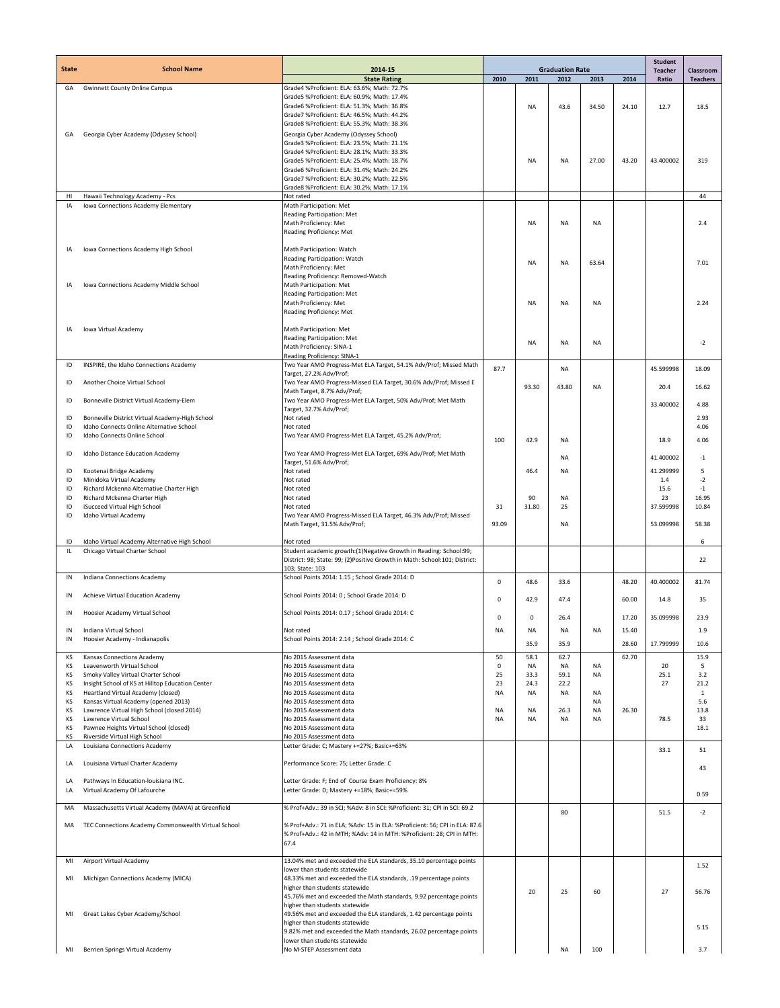|              | <b>School Name</b>                                                                          |                                                                                                                                                 | <b>Graduation Rate</b> |                   |                   |                 |       |                         |                              |
|--------------|---------------------------------------------------------------------------------------------|-------------------------------------------------------------------------------------------------------------------------------------------------|------------------------|-------------------|-------------------|-----------------|-------|-------------------------|------------------------------|
| <b>State</b> |                                                                                             | 2014-15<br><b>State Rating</b>                                                                                                                  | 2010                   | 2011              | 2012              | 2013            | 2014  | <b>Teacher</b><br>Ratio | Classroom<br><b>Teachers</b> |
| GA           | <b>Gwinnett County Online Campus</b>                                                        | Grade4 %Proficient: ELA: 63.6%; Math: 72.7%                                                                                                     |                        |                   |                   |                 |       |                         |                              |
|              |                                                                                             | Grade5 %Proficient: ELA: 60.9%; Math: 17.4%<br>Grade6 %Proficient: ELA: 51.3%; Math: 36.8%                                                      |                        | <b>NA</b>         | 43.6              | 34.50           | 24.10 | 12.7                    | 18.5                         |
|              |                                                                                             | Grade7 %Proficient: ELA: 46.5%; Math: 44.2%                                                                                                     |                        |                   |                   |                 |       |                         |                              |
|              |                                                                                             | Grade8 %Proficient: ELA: 55.3%: Math: 38.3%                                                                                                     |                        |                   |                   |                 |       |                         |                              |
| GA           | Georgia Cyber Academy (Odyssey School)                                                      | Georgia Cyber Academy (Odyssey School)                                                                                                          |                        |                   |                   |                 |       |                         |                              |
|              |                                                                                             | Grade3 %Proficient: ELA: 23.5%; Math: 21.1%<br>Grade4 %Proficient: ELA: 28.1%; Math: 33.3%                                                      |                        |                   |                   |                 |       |                         |                              |
|              |                                                                                             | Grade5 %Proficient: ELA: 25.4%; Math: 18.7%                                                                                                     |                        | <b>NA</b>         | <b>NA</b>         | 27.00           | 43.20 | 43.400002               | 319                          |
|              |                                                                                             | Grade6 %Proficient: ELA: 31.4%; Math: 24.2%                                                                                                     |                        |                   |                   |                 |       |                         |                              |
|              |                                                                                             | Grade7 %Proficient: ELA: 30.2%; Math: 22.5%<br>Grade8 %Proficient: ELA: 30.2%; Math: 17.1%                                                      |                        |                   |                   |                 |       |                         |                              |
| HI           | Hawaii Technology Academy - Pcs                                                             | Not rated                                                                                                                                       |                        |                   |                   |                 |       |                         | 44                           |
| IA           | Iowa Connections Academy Elementary                                                         | Math Participation: Met<br>Reading Participation: Met                                                                                           |                        |                   |                   |                 |       |                         |                              |
|              |                                                                                             | Math Proficiency: Met                                                                                                                           |                        | <b>NA</b>         | <b>NA</b>         | <b>NA</b>       |       |                         | 2.4                          |
|              |                                                                                             | Reading Proficiency: Met                                                                                                                        |                        |                   |                   |                 |       |                         |                              |
| IA           | Iowa Connections Academy High School                                                        | Math Participation: Watch                                                                                                                       |                        |                   |                   |                 |       |                         |                              |
|              |                                                                                             | Reading Participation: Watch                                                                                                                    |                        | <b>NA</b>         | <b>NA</b>         | 63.64           |       |                         | 7.01                         |
|              |                                                                                             | Math Proficiency: Met                                                                                                                           |                        |                   |                   |                 |       |                         |                              |
| IA           | Iowa Connections Academy Middle School                                                      | Reading Proficiency: Removed-Watch<br>Math Participation: Met                                                                                   |                        |                   |                   |                 |       |                         |                              |
|              |                                                                                             | Reading Participation: Met                                                                                                                      |                        |                   |                   |                 |       |                         |                              |
|              |                                                                                             | Math Proficiency: Met                                                                                                                           |                        | <b>NA</b>         | <b>NA</b>         | <b>NA</b>       |       |                         | 2.24                         |
|              |                                                                                             | Reading Proficiency: Met                                                                                                                        |                        |                   |                   |                 |       |                         |                              |
| IA           | Iowa Virtual Academy                                                                        | Math Participation: Met                                                                                                                         |                        |                   |                   |                 |       |                         |                              |
|              |                                                                                             | Reading Participation: Met                                                                                                                      |                        | <b>NA</b>         | <b>NA</b>         | <b>NA</b>       |       |                         | $-2$                         |
|              |                                                                                             | Math Proficiency: SINA-1<br>Reading Proficiency: SINA-1                                                                                         |                        |                   |                   |                 |       |                         |                              |
| ID           | INSPIRE, the Idaho Connections Academy                                                      | Two Year AMO Progress-Met ELA Target, 54.1% Adv/Prof; Missed Math                                                                               | 87.7                   |                   | <b>NA</b>         |                 |       | 45.599998               | 18.09                        |
|              | Another Choice Virtual School                                                               | Target, 27.2% Adv/Prof;                                                                                                                         |                        |                   |                   |                 |       |                         |                              |
| ID           |                                                                                             | Two Year AMO Progress-Missed ELA Target, 30.6% Adv/Prof; Missed E<br>Math Target, 8.7% Adv/Prof;                                                |                        | 93.30             | 43.80             | <b>NA</b>       |       | 20.4                    | 16.62                        |
| ID           | Bonneville District Virtual Academy-Elem                                                    | Two Year AMO Progress-Met ELA Target, 50% Adv/Prof; Met Math                                                                                    |                        |                   |                   |                 |       | 33.400002               | 4.88                         |
|              |                                                                                             | Target, 32.7% Adv/Prof;<br>Not rated                                                                                                            |                        |                   |                   |                 |       |                         | 2.93                         |
| ID<br>ID     | Bonneville District Virtual Academy-High School<br>Idaho Connects Online Alternative School | Not rated                                                                                                                                       |                        |                   |                   |                 |       |                         | 4.06                         |
| ID           | Idaho Connects Online School                                                                | Two Year AMO Progress-Met ELA Target, 45.2% Adv/Prof;                                                                                           | 100                    | 42.9              | <b>NA</b>         |                 |       | 18.9                    | 4.06                         |
| ID           | Idaho Distance Education Academy                                                            | Two Year AMO Progress-Met ELA Target, 69% Adv/Prof; Met Math                                                                                    |                        |                   |                   |                 |       |                         |                              |
|              |                                                                                             | Target, 51.6% Adv/Prof;                                                                                                                         |                        |                   | <b>NA</b>         |                 |       | 41.400002               | $^{\rm -1}$                  |
| ID           | Kootenai Bridge Academy                                                                     | Not rated                                                                                                                                       |                        | 46.4              | NA                |                 |       | 41.299999               | 5                            |
| ID<br>ID     | Minidoka Virtual Academy<br>Richard Mckenna Alternative Charter High                        | Not rated<br>Not rated                                                                                                                          |                        |                   |                   |                 |       | 1.4<br>15.6             | $-2$<br>$-1$                 |
| ID           | Richard Mckenna Charter High                                                                | Not rated                                                                                                                                       |                        | 90                | NA                |                 |       | 23                      | 16.95                        |
| ID           | iSucceed Virtual High School                                                                | Not rated                                                                                                                                       | 31                     | 31.80             | 25                |                 |       | 37.599998               | 10.84                        |
| ID           | Idaho Virtual Academy                                                                       | Two Year AMO Progress-Missed ELA Target, 46.3% Adv/Prof; Missed<br>Math Target, 31.5% Adv/Prof;                                                 | 93.09                  |                   | <b>NA</b>         |                 |       | 53.099998               | 58.38                        |
|              |                                                                                             |                                                                                                                                                 |                        |                   |                   |                 |       |                         |                              |
| ID           | Idaho Virtual Academy Alternative High School                                               | Not rated                                                                                                                                       |                        |                   |                   |                 |       |                         | 6                            |
| IL.          | Chicago Virtual Charter School                                                              | Student academic growth:(1)Negative Growth in Reading: School:99;<br>District: 98; State: 99; (2)Positive Growth in Math: School:101; District: |                        |                   |                   |                 |       |                         | 22                           |
|              |                                                                                             | 103: State: 103                                                                                                                                 |                        |                   |                   |                 |       |                         |                              |
| IN           | Indiana Connections Academy                                                                 | School Points 2014: 1.15 ; School Grade 2014: D                                                                                                 | $\Omega$               | 48.6              | 33.6              |                 | 48.20 | 40.400002               | 81.74                        |
| IN           | Achieve Virtual Education Academy                                                           | School Points 2014: 0; School Grade 2014: D                                                                                                     |                        |                   |                   |                 |       |                         |                              |
|              |                                                                                             |                                                                                                                                                 | $\Omega$               | 42.9              | 47.4              |                 | 60.00 | 14.8                    | 35                           |
| IN           | Hoosier Academy Virtual School                                                              | School Points 2014: 0.17 ; School Grade 2014: C                                                                                                 | 0                      | $\mathbf 0$       | 26.4              |                 | 17.20 | 35.099998               | 23.9                         |
| ΙN           | Indiana Virtual School                                                                      | Not rated                                                                                                                                       | NA                     | NA                | NA                | NA              | 15.40 |                         | 1.9                          |
| IN           | Hoosier Academy - Indianapolis                                                              | School Points 2014: 2.14 ; School Grade 2014: C                                                                                                 |                        | 35.9              | 35.9              |                 | 28.60 | 17.799999               | 10.6                         |
| КS           | Kansas Connections Academy                                                                  | No 2015 Assessment data                                                                                                                         | 50                     | 58.1              | 62.7              |                 | 62.70 |                         | 15.9                         |
| KS           | Leavenworth Virtual School                                                                  | No 2015 Assessment data                                                                                                                         | $\mathbf 0$            | <b>NA</b>         | <b>NA</b>         | NA              |       | 20                      | 5                            |
| KS           | Smoky Valley Virtual Charter School                                                         | No 2015 Assessment data                                                                                                                         | 25                     | 33.3              | 59.1              | <b>NA</b>       |       | 25.1                    | 3.2                          |
| КS<br>KS     | Insight School of KS at Hilltop Education Center<br>Heartland Virtual Academy (closed)      | No 2015 Assessment data<br>No 2015 Assessment data                                                                                              | 23<br><b>NA</b>        | 24.3<br><b>NA</b> | 22.2<br><b>NA</b> | <b>NA</b>       |       | 27                      | 21.2<br>$\mathbf{1}$         |
| КS           | Kansas Virtual Academy (opened 2013)                                                        | No 2015 Assessment data                                                                                                                         |                        |                   |                   | <b>NA</b>       |       |                         | 5.6                          |
| ΚS<br>KS     | Lawrence Virtual High School (closed 2014)<br>Lawrence Virtual School                       | No 2015 Assessment data<br>No 2015 Assessment data                                                                                              | <b>NA</b><br><b>NA</b> | <b>NA</b><br>NA   | 26.3<br><b>NA</b> | <b>NA</b><br>NA | 26.30 | 78.5                    | 13.8<br>33                   |
| КS           | Pawnee Heights Virtual School (closed)                                                      | No 2015 Assessment data                                                                                                                         |                        |                   |                   |                 |       |                         | 18.1                         |
| KS           | Riverside Virtual High School                                                               | No 2015 Assessment data                                                                                                                         |                        |                   |                   |                 |       |                         |                              |
| LA           | Louisiana Connections Academy                                                               | Letter Grade: C; Mastery +=27%; Basic+=63%                                                                                                      |                        |                   |                   |                 |       | 33.1                    | 51                           |
| LA           | Louisiana Virtual Charter Academy                                                           | Performance Score: 75; Letter Grade: C                                                                                                          |                        |                   |                   |                 |       |                         | 43                           |
|              |                                                                                             |                                                                                                                                                 |                        |                   |                   |                 |       |                         |                              |
| LA<br>LA     | Pathways In Education-louisiana INC.<br>Virtual Academy Of Lafourche                        | Letter Grade: F; End of Course Exam Proficiency: 8%<br>Letter Grade: D; Mastery +=18%; Basic+=59%                                               |                        |                   |                   |                 |       |                         |                              |
|              |                                                                                             |                                                                                                                                                 |                        |                   |                   |                 |       |                         | 0.59                         |
| MA           | Massachusetts Virtual Academy (MAVA) at Greenfield                                          | % Prof+Adv.: 39 in SCI; %Adv: 8 in SCI: %Proficient: 31; CPI in SCI: 69.2                                                                       |                        |                   | 80                |                 |       | 51.5                    | $-2$                         |
| MA           | TEC Connections Academy Commonwealth Virtual School                                         | % Prof+Adv.: 71 in ELA; %Adv: 15 in ELA: %Proficient: 56; CPI in ELA: 87.6                                                                      |                        |                   |                   |                 |       |                         |                              |
|              |                                                                                             | % Prof+Adv.: 42 in MTH; %Adv: 14 in MTH: %Proficient: 28; CPI in MTH:                                                                           |                        |                   |                   |                 |       |                         |                              |
|              |                                                                                             | 67.4                                                                                                                                            |                        |                   |                   |                 |       |                         |                              |
| MI           | Airport Virtual Academy                                                                     | 13.04% met and exceeded the ELA standards, 35.10 percentage points                                                                              |                        |                   |                   |                 |       |                         |                              |
|              |                                                                                             | lower than students statewide                                                                                                                   |                        |                   |                   |                 |       |                         | 1.52                         |
| MI           | Michigan Connections Academy (MICA)                                                         | 48.33% met and exceeded the ELA standards, .19 percentage points<br>higher than students statewide                                              |                        |                   |                   |                 |       |                         |                              |
|              |                                                                                             | 45.76% met and exceeded the Math standards, 9.92 percentage points                                                                              |                        | 20                | 25                | 60              |       | 27                      | 56.76                        |
|              |                                                                                             | higher than students statewide                                                                                                                  |                        |                   |                   |                 |       |                         |                              |
| MI           | Great Lakes Cyber Academy/School                                                            | 49.56% met and exceeded the ELA standards, 1.42 percentage points<br>higher than students statewide                                             |                        |                   |                   |                 |       |                         |                              |
|              |                                                                                             | 9.82% met and exceeded the Math standards, 26.02 percentage points                                                                              |                        |                   |                   |                 |       |                         | 5.15                         |
|              |                                                                                             | lower than students statewide                                                                                                                   |                        |                   |                   |                 |       |                         |                              |
| MI           | Berrien Springs Virtual Academy                                                             | No M-STEP Assessment data                                                                                                                       |                        |                   | <b>NA</b>         | 100             |       |                         | 3.7                          |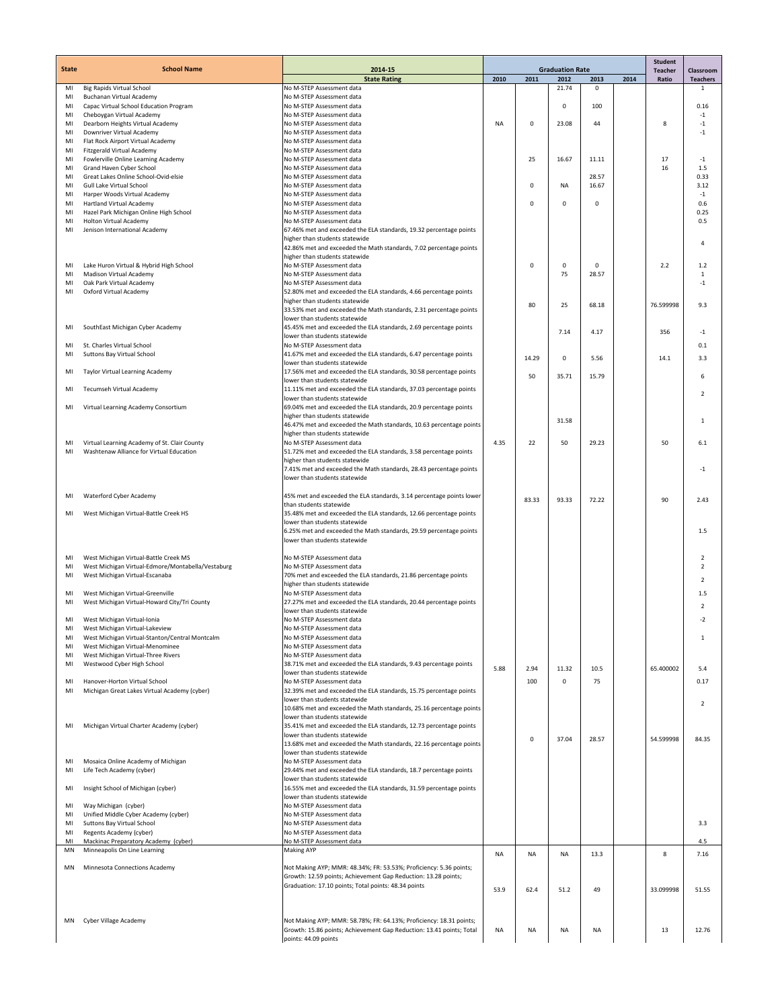|              |                                                                                            |                                                                                                                                      |           |             |                                |                      |      | <b>Student</b>          |                              |
|--------------|--------------------------------------------------------------------------------------------|--------------------------------------------------------------------------------------------------------------------------------------|-----------|-------------|--------------------------------|----------------------|------|-------------------------|------------------------------|
| <b>State</b> | <b>School Name</b>                                                                         | 2014-15<br><b>State Rating</b>                                                                                                       | 2010      | 2011        | <b>Graduation Rate</b><br>2012 | 2013                 | 2014 | <b>Teacher</b><br>Ratio | Classroom<br><b>Teachers</b> |
| MI           | <b>Big Rapids Virtual School</b>                                                           | No M-STEP Assessment data                                                                                                            |           |             | 21.74                          | 0                    |      |                         | 1                            |
| MI           | Buchanan Virtual Academy                                                                   | No M-STEP Assessment data                                                                                                            |           |             |                                |                      |      |                         |                              |
| MI<br>MI     | Capac Virtual School Education Program<br>Cheboygan Virtual Academy                        | No M-STEP Assessment data<br>No M-STEP Assessment data                                                                               |           |             | 0                              | 100                  |      |                         | 0.16<br>$-1$                 |
| MI           | Dearborn Heights Virtual Academy                                                           | No M-STEP Assessment data                                                                                                            | <b>NA</b> | $\mathbf 0$ | 23.08                          | 44                   |      | 8                       | $-1$                         |
| MI           | Downriver Virtual Academy                                                                  | No M-STEP Assessment data                                                                                                            |           |             |                                |                      |      |                         | $-1$                         |
| MI           | Flat Rock Airport Virtual Academy                                                          | No M-STEP Assessment data                                                                                                            |           |             |                                |                      |      |                         |                              |
| MI<br>MI     | Fitzgerald Virtual Academy<br>Fowlerville Online Learning Academy                          | No M-STEP Assessment data<br>No M-STEP Assessment data                                                                               |           | 25          | 16.67                          | 11.11                |      | 17                      | $-1$                         |
| MI           | Grand Haven Cyber School                                                                   | No M-STEP Assessment data                                                                                                            |           |             |                                |                      |      | 16                      | 1.5                          |
| MI           | Great Lakes Online School-Ovid-elsie                                                       | No M-STEP Assessment data                                                                                                            |           |             |                                | 28.57                |      |                         | 0.33                         |
| MI           | Gull Lake Virtual School<br>Harper Woods Virtual Academy                                   | No M-STEP Assessment data<br>No M-STEP Assessment data                                                                               |           | 0           | <b>NA</b>                      | 16.67                |      |                         | 3.12<br>$-1$                 |
| MI<br>MI     | Hartland Virtual Academy                                                                   | No M-STEP Assessment data                                                                                                            |           | $\mathbf 0$ | 0                              | 0                    |      |                         | 0.6                          |
| MI           | Hazel Park Michigan Online High School                                                     | No M-STEP Assessment data                                                                                                            |           |             |                                |                      |      |                         | 0.25                         |
| MI           | Holton Virtual Academy                                                                     | No M-STEP Assessment data                                                                                                            |           |             |                                |                      |      |                         | 0.5                          |
| MI           | Jenison International Academy                                                              | 67.46% met and exceeded the ELA standards, 19.32 percentage points<br>higher than students statewide                                 |           |             |                                |                      |      |                         |                              |
|              |                                                                                            | 42.86% met and exceeded the Math standards, 7.02 percentage points                                                                   |           |             |                                |                      |      |                         | $\overline{4}$               |
|              |                                                                                            | higher than students statewide                                                                                                       |           |             |                                |                      |      |                         |                              |
| MI<br>MI     | Lake Huron Virtual & Hybrid High School<br>Madison Virtual Academy                         | No M-STEP Assessment data<br>No M-STEP Assessment data                                                                               |           | $\mathbf 0$ | 0<br>75                        | $\mathbf 0$<br>28.57 |      | 2.2                     | 1.2<br>1                     |
| MI           | Oak Park Virtual Academy                                                                   | No M-STEP Assessment data                                                                                                            |           |             |                                |                      |      |                         | $-1$                         |
| MI           | Oxford Virtual Academy                                                                     | 52.80% met and exceeded the ELA standards, 4.66 percentage points                                                                    |           |             |                                |                      |      |                         |                              |
|              |                                                                                            | higher than students statewide                                                                                                       |           | 80          | 25                             | 68.18                |      | 76.599998               | 9.3                          |
|              |                                                                                            | 33.53% met and exceeded the Math standards, 2.31 percentage points<br>lower than students statewide                                  |           |             |                                |                      |      |                         |                              |
| MI           | SouthEast Michigan Cyber Academy                                                           | 45.45% met and exceeded the ELA standards, 2.69 percentage points                                                                    |           |             |                                |                      |      |                         |                              |
|              |                                                                                            | lower than students statewide                                                                                                        |           |             | 7.14                           | 4.17                 |      | 356                     | $-1$                         |
| MI           | St. Charles Virtual School                                                                 | No M-STEP Assessment data                                                                                                            |           |             |                                |                      |      |                         | 0.1                          |
| MI           | <b>Suttons Bay Virtual School</b>                                                          | 41.67% met and exceeded the ELA standards, 6.47 percentage points<br>lower than students statewide                                   |           | 14.29       | 0                              | 5.56                 |      | 14.1                    | 3.3                          |
| MI           | Taylor Virtual Learning Academy                                                            | 17.56% met and exceeded the ELA standards, 30.58 percentage points                                                                   |           |             |                                |                      |      |                         |                              |
|              |                                                                                            | lower than students statewide                                                                                                        |           | 50          | 35.71                          | 15.79                |      |                         | 6                            |
| MI           | Tecumseh Virtual Academy                                                                   | 11.11% met and exceeded the ELA standards, 37.03 percentage points                                                                   |           |             |                                |                      |      |                         | $\overline{2}$               |
| MI           | Virtual Learning Academy Consortium                                                        | lower than students statewide<br>69.04% met and exceeded the ELA standards, 20.9 percentage points                                   |           |             |                                |                      |      |                         |                              |
|              |                                                                                            | higher than students statewide                                                                                                       |           |             | 31.58                          |                      |      |                         | 1                            |
|              |                                                                                            | 46.47% met and exceeded the Math standards, 10.63 percentage points                                                                  |           |             |                                |                      |      |                         |                              |
| MI           | Virtual Learning Academy of St. Clair County                                               | higher than students statewide<br>No M-STEP Assessment data                                                                          | 4.35      | 22          | 50                             | 29.23                |      | 50                      | 6.1                          |
| MI           | Washtenaw Alliance for Virtual Education                                                   | 51.72% met and exceeded the ELA standards, 3.58 percentage points                                                                    |           |             |                                |                      |      |                         |                              |
|              |                                                                                            | higher than students statewide                                                                                                       |           |             |                                |                      |      |                         |                              |
|              |                                                                                            | 7.41% met and exceeded the Math standards, 28.43 percentage points                                                                   |           |             |                                |                      |      |                         | $-1$                         |
|              |                                                                                            | lower than students statewide                                                                                                        |           |             |                                |                      |      |                         |                              |
| MI           | Waterford Cyber Academy                                                                    | 45% met and exceeded the ELA standards, 3.14 percentage points lower                                                                 |           | 83.33       | 93.33                          | 72.22                |      | 90                      | 2.43                         |
|              |                                                                                            | than students statewide                                                                                                              |           |             |                                |                      |      |                         |                              |
| MI           | West Michigan Virtual-Battle Creek HS                                                      | 35.48% met and exceeded the ELA standards, 12.66 percentage points<br>lower than students statewide                                  |           |             |                                |                      |      |                         |                              |
|              |                                                                                            | 6.25% met and exceeded the Math standards, 29.59 percentage points                                                                   |           |             |                                |                      |      |                         | 1.5                          |
|              |                                                                                            | lower than students statewide                                                                                                        |           |             |                                |                      |      |                         |                              |
|              |                                                                                            |                                                                                                                                      |           |             |                                |                      |      |                         | $\overline{2}$               |
| MI<br>MI     | West Michigan Virtual-Battle Creek MS<br>West Michigan Virtual-Edmore/Montabella/Vestaburg | No M-STEP Assessment data<br>No M-STEP Assessment data                                                                               |           |             |                                |                      |      |                         | $\overline{2}$               |
| MI           | West Michigan Virtual-Escanaba                                                             | 70% met and exceeded the ELA standards, 21.86 percentage points                                                                      |           |             |                                |                      |      |                         | $\overline{2}$               |
|              |                                                                                            | higher than students statewide                                                                                                       |           |             |                                |                      |      |                         |                              |
| MI<br>MI     | West Michigan Virtual-Greenville<br>West Michigan Virtual-Howard City/Tri County           | No M-STEP Assessment data<br>27.27% met and exceeded the ELA standards, 20.44 percentage points                                      |           |             |                                |                      |      |                         | 1.5                          |
|              |                                                                                            | lower than students statewide                                                                                                        |           |             |                                |                      |      |                         | $\overline{2}$               |
| MI           | West Michigan Virtual-Ionia                                                                | No M-STEP Assessment data                                                                                                            |           |             |                                |                      |      |                         | $-2$                         |
| MI           | West Michigan Virtual-Lakeview                                                             | No M-STEP Assessment data                                                                                                            |           |             |                                |                      |      |                         |                              |
| MI<br>MI     | West Michigan Virtual-Stanton/Central Montcalm<br>West Michigan Virtual-Menominee          | No M-STEP Assessment data<br>No M-STEP Assessment data                                                                               |           |             |                                |                      |      |                         | 1                            |
| MI           | West Michigan Virtual-Three Rivers                                                         | No M-STEP Assessment data                                                                                                            |           |             |                                |                      |      |                         |                              |
| MI           | Westwood Cyber High School                                                                 | 38.71% met and exceeded the ELA standards, 9.43 percentage points                                                                    | 5.88      | 2.94        | 11.32                          | 10.5                 |      | 65.400002               | 5.4                          |
|              | Hanover-Horton Virtual School                                                              | lower than students statewide<br>No M-STEP Assessment data                                                                           |           | 100         | $\mathbf 0$                    | 75                   |      |                         | 0.17                         |
| MI<br>MI     | Michigan Great Lakes Virtual Academy (cyber)                                               | 32.39% met and exceeded the ELA standards, 15.75 percentage points                                                                   |           |             |                                |                      |      |                         |                              |
|              |                                                                                            | lower than students statewide                                                                                                        |           |             |                                |                      |      |                         | $\overline{2}$               |
|              |                                                                                            | 10.68% met and exceeded the Math standards, 25.16 percentage points                                                                  |           |             |                                |                      |      |                         |                              |
| MI           | Michigan Virtual Charter Academy (cyber)                                                   | lower than students statewide<br>35.41% met and exceeded the ELA standards, 12.73 percentage points                                  |           |             |                                |                      |      |                         |                              |
|              |                                                                                            | lower than students statewide                                                                                                        |           | 0           | 37.04                          | 28.57                |      | 54.599998               | 84.35                        |
|              |                                                                                            | 13.68% met and exceeded the Math standards, 22.16 percentage points                                                                  |           |             |                                |                      |      |                         |                              |
| MI           | Mosaica Online Academy of Michigan                                                         | lower than students statewide<br>No M-STEP Assessment data                                                                           |           |             |                                |                      |      |                         |                              |
| MI           | Life Tech Academy (cyber)                                                                  | 29.44% met and exceeded the ELA standards, 18.7 percentage points                                                                    |           |             |                                |                      |      |                         |                              |
|              |                                                                                            | lower than students statewide                                                                                                        |           |             |                                |                      |      |                         |                              |
| MI           | Insight School of Michigan (cyber)                                                         | 16.55% met and exceeded the ELA standards, 31.59 percentage points                                                                   |           |             |                                |                      |      |                         |                              |
| MI           | Way Michigan (cyber)                                                                       | lower than students statewide<br>No M-STEP Assessment data                                                                           |           |             |                                |                      |      |                         |                              |
| MI           | Unified Middle Cyber Academy (cyber)                                                       | No M-STEP Assessment data                                                                                                            |           |             |                                |                      |      |                         |                              |
| MI           | Suttons Bay Virtual School                                                                 | No M-STEP Assessment data                                                                                                            |           |             |                                |                      |      |                         | 3.3                          |
| MI<br>MI     | Regents Academy (cyber)<br>Mackinac Preparatory Academy (cyber)                            | No M-STEP Assessment data<br>No M-STEP Assessment data                                                                               |           |             |                                |                      |      |                         | 4.5                          |
| MN           | Minneapolis On Line Learning                                                               | <b>Making AYP</b>                                                                                                                    |           |             |                                |                      |      | 8                       |                              |
|              |                                                                                            |                                                                                                                                      | <b>NA</b> | <b>NA</b>   | <b>NA</b>                      | 13.3                 |      |                         | 7.16                         |
| MN           | Minnesota Connections Academy                                                              | Not Making AYP; MMR: 48.34%; FR: 53.53%; Proficiency: 5.36 points;<br>Growth: 12.59 points; Achievement Gap Reduction: 13.28 points; |           |             |                                |                      |      |                         |                              |
|              |                                                                                            | Graduation: 17.10 points; Total points: 48.34 points                                                                                 |           |             |                                |                      |      |                         |                              |
|              |                                                                                            |                                                                                                                                      | 53.9      | 62.4        | 51.2                           | 49                   |      | 33.099998               | 51.55                        |
|              |                                                                                            |                                                                                                                                      |           |             |                                |                      |      |                         |                              |
| MN           | Cyber Village Academy                                                                      | Not Making AYP; MMR: 58.78%; FR: 64.13%; Proficiency: 18.31 points;                                                                  |           |             |                                |                      |      |                         |                              |
|              |                                                                                            | Growth: 15.86 points; Achievement Gap Reduction: 13.41 points; Total                                                                 | NA        | NA          | NA                             | NA                   |      | 13                      | 12.76                        |
|              |                                                                                            | points: 44.09 points                                                                                                                 |           |             |                                |                      |      |                         |                              |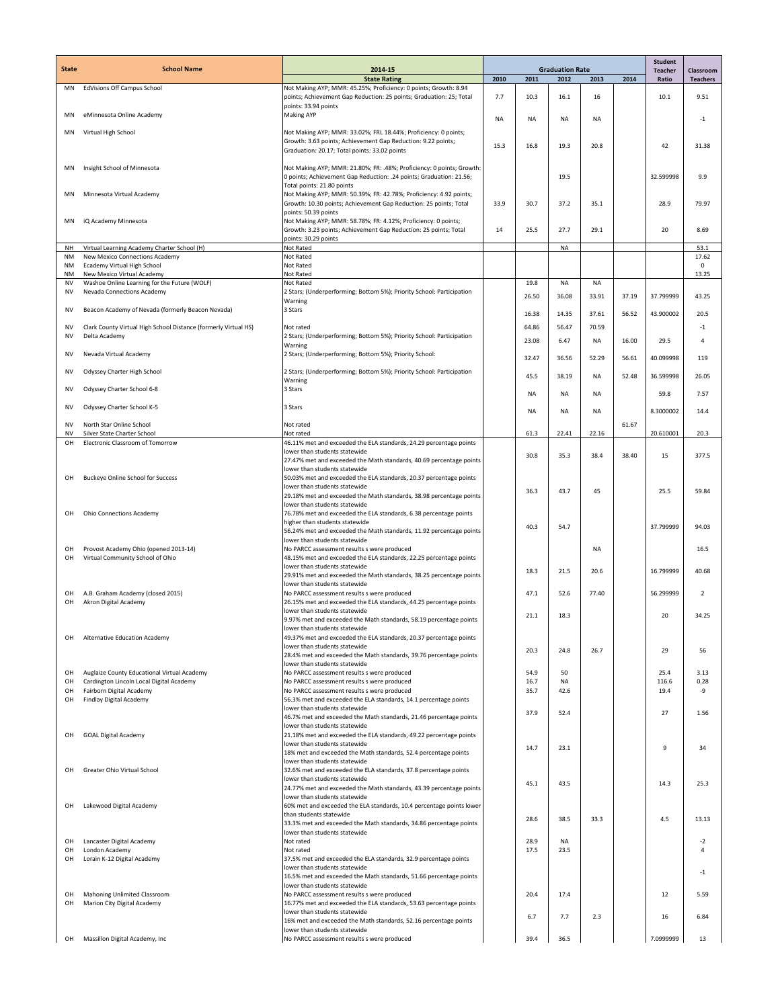|                        | <b>School Name</b>                                                         |                                                                                                                                                                                  |           |           |                                |           |       | <b>Student</b>          |                              |
|------------------------|----------------------------------------------------------------------------|----------------------------------------------------------------------------------------------------------------------------------------------------------------------------------|-----------|-----------|--------------------------------|-----------|-------|-------------------------|------------------------------|
| <b>State</b>           |                                                                            | 2014-15<br><b>State Rating</b>                                                                                                                                                   | 2010      | 2011      | <b>Graduation Rate</b><br>2012 | 2013      | 2014  | <b>Teacher</b><br>Ratio | Classroom<br><b>Teachers</b> |
| ΜN                     | EdVisions Off Campus School                                                | Not Making AYP; MMR: 45.25%; Proficiency: 0 points; Growth: 8.94<br>points; Achievement Gap Reduction: 25 points; Graduation: 25; Total                                          | 7.7       | 10.3      | 16.1                           | 16        |       | 10.1                    | 9.51                         |
| MN                     | eMinnesota Online Academy                                                  | points: 33.94 points<br><b>Making AYP</b>                                                                                                                                        | <b>NA</b> | NA        | <b>NA</b>                      | NA        |       |                         | $-1$                         |
| MN                     | Virtual High School                                                        | Not Making AYP; MMR: 33.02%; FRL 18.44%; Proficiency: 0 points;<br>Growth: 3.63 points; Achievement Gap Reduction: 9.22 points;<br>Graduation: 20.17; Total points: 33.02 points | 15.3      | 16.8      | 19.3                           | 20.8      |       | 42                      | 31.38                        |
| MN                     | Insight School of Minnesota                                                | Not Making AYP; MMR: 21.80%; FR: .48%; Proficiency: 0 points; Growth:<br>0 points; Achievement Gap Reduction: .24 points; Graduation: 21.56;                                     |           |           | 19.5                           |           |       | 32.599998               | 9.9                          |
| MN                     | Minnesota Virtual Academy                                                  | Total points: 21.80 points<br>Not Making AYP; MMR: 50.39%; FR: 42.78%; Proficiency: 4.92 points;<br>Growth: 10.30 points; Achievement Gap Reduction: 25 points; Total            | 33.9      | 30.7      | 37.2                           | 35.1      |       | 28.9                    | 79.97                        |
| MN                     | iQ Academy Minnesota                                                       | points: 50.39 points<br>Not Making AYP; MMR: 58.78%; FR: 4.12%; Proficiency: 0 points;<br>Growth: 3.23 points; Achievement Gap Reduction: 25 points; Total                       | 14        | 25.5      | 27.7                           | 29.1      |       | 20                      | 8.69                         |
| <b>NH</b>              | Virtual Learning Academy Charter School (H)                                | points: 30.29 points<br>Not Rated                                                                                                                                                |           |           | <b>NA</b>                      |           |       |                         | 53.1                         |
| NM                     | New Mexico Connections Academy                                             | Not Rated                                                                                                                                                                        |           |           |                                |           |       |                         | 17.62                        |
| NM                     | Ecademy Virtual High School                                                | Not Rated                                                                                                                                                                        |           |           |                                |           |       |                         | $\Omega$                     |
| NM<br><b>NV</b>        | New Mexico Virtual Academy<br>Washoe Online Learning for the Future (WOLF) | Not Rated<br>Not Rated                                                                                                                                                           |           | 19.8      | <b>NA</b>                      | <b>NA</b> |       |                         | 13.25                        |
| <b>NV</b>              | Nevada Connections Academy                                                 | 2 Stars; (Underperforming; Bottom 5%); Priority School: Participation                                                                                                            |           |           |                                |           |       |                         |                              |
|                        |                                                                            | Warning                                                                                                                                                                          |           | 26.50     | 36.08                          | 33.91     | 37.19 | 37.799999               | 43.25                        |
| NV                     | Beacon Academy of Nevada (formerly Beacon Nevada)                          | 3 Stars                                                                                                                                                                          |           | 16.38     | 14.35                          | 37.61     | 56.52 | 43.900002               | 20.5                         |
| <b>NV</b>              | Clark County Virtual High School Distance (formerly Virtual HS)            | Not rated                                                                                                                                                                        |           | 64.86     | 56.47                          | 70.59     |       |                         | $-1$                         |
| NV                     | Delta Academy                                                              | 2 Stars; (Underperforming; Bottom 5%); Priority School: Participation                                                                                                            |           | 23.08     | 6.47                           | <b>NA</b> | 16.00 | 29.5                    | $\overline{4}$               |
|                        |                                                                            | Warning                                                                                                                                                                          |           |           |                                |           |       |                         |                              |
| <b>NV</b>              | Nevada Virtual Academy                                                     | 2 Stars; (Underperforming; Bottom 5%); Priority School:                                                                                                                          |           | 32.47     | 36.56                          | 52.29     | 56.61 | 40.099998               | 119                          |
| <b>NV</b>              | Odyssey Charter High School                                                | 2 Stars; (Underperforming; Bottom 5%); Priority School: Participation                                                                                                            |           | 45.5      | 38.19                          | <b>NA</b> | 52.48 | 36.599998               | 26.05                        |
| <b>NV</b>              | Odyssey Charter School 6-8                                                 | Warning<br>3 Stars                                                                                                                                                               |           | <b>NA</b> | <b>NA</b>                      | <b>NA</b> |       | 59.8                    | 7.57                         |
| <b>NV</b>              | Odyssey Charter School K-5                                                 | 3 Stars                                                                                                                                                                          |           | <b>NA</b> | <b>NA</b>                      | NA        |       | 8.3000002               | 14.4                         |
| <b>NV</b><br><b>NV</b> | North Star Online School<br>Silver State Charter School                    | Not rated<br>Not rated                                                                                                                                                           |           | 61.3      | 22.41                          | 22.16     | 61.67 | 20.610001               | 20.3                         |
| OH                     | Electronic Classroom of Tomorrow                                           | 46.11% met and exceeded the ELA standards, 24.29 percentage points                                                                                                               |           |           |                                |           |       |                         |                              |
|                        |                                                                            | lower than students statewide                                                                                                                                                    |           | 30.8      | 35.3                           | 38.4      | 38.40 | 15                      | 377.5                        |
|                        |                                                                            | 27.47% met and exceeded the Math standards, 40.69 percentage points                                                                                                              |           |           |                                |           |       |                         |                              |
| OH                     | <b>Buckeye Online School for Success</b>                                   | lower than students statewide<br>50.03% met and exceeded the ELA standards, 20.37 percentage points                                                                              |           |           |                                |           |       |                         |                              |
|                        |                                                                            | lower than students statewide                                                                                                                                                    |           | 36.3      | 43.7                           | 45        |       | 25.5                    | 59.84                        |
|                        |                                                                            | 29.18% met and exceeded the Math standards, 38.98 percentage points                                                                                                              |           |           |                                |           |       |                         |                              |
| OH                     | Ohio Connections Academy                                                   | lower than students statewide<br>76.78% met and exceeded the ELA standards, 6.38 percentage points                                                                               |           |           |                                |           |       |                         |                              |
|                        |                                                                            | higher than students statewide                                                                                                                                                   |           |           |                                |           |       |                         |                              |
|                        |                                                                            | 56.24% met and exceeded the Math standards, 11.92 percentage points                                                                                                              |           | 40.3      | 54.7                           |           |       | 37.799999               | 94.03                        |
|                        |                                                                            | lower than students statewide                                                                                                                                                    |           |           |                                |           |       |                         |                              |
| OH<br>OH               | Provost Academy Ohio (opened 2013-14)<br>Virtual Community School of Ohio  | No PARCC assessment results s were produced<br>48.15% met and exceeded the ELA standards, 22.25 percentage points                                                                |           |           |                                | <b>NA</b> |       |                         | 16.5                         |
|                        |                                                                            | lower than students statewide                                                                                                                                                    |           | 18.3      | 21.5                           | 20.6      |       | 16.799999               | 40.68                        |
|                        |                                                                            | 29.91% met and exceeded the Math standards, 38.25 percentage points                                                                                                              |           |           |                                |           |       |                         |                              |
| OH                     | A.B. Graham Academy (closed 2015)                                          | lower than students statewide<br>No PARCC assessment results s were produced                                                                                                     |           | 47.1      | 52.6                           | 77.40     |       | 56.299999               | $\overline{2}$               |
| OH                     | Akron Digital Academy                                                      | 26.15% met and exceeded the ELA standards, 44.25 percentage points                                                                                                               |           |           |                                |           |       |                         |                              |
|                        |                                                                            | lower than students statewide                                                                                                                                                    |           | 21.1      | 18.3                           |           |       | 20                      | 34.25                        |
|                        |                                                                            | 9.97% met and exceeded the Math standards, 58.19 percentage points<br>lower than students statewide                                                                              |           |           |                                |           |       |                         |                              |
| OH                     | Alternative Education Academy                                              | 49.37% met and exceeded the ELA standards, 20.37 percentage points                                                                                                               |           |           |                                |           |       |                         |                              |
|                        |                                                                            | lower than students statewide                                                                                                                                                    |           | 20.3      | 24.8                           | 26.7      |       | 29                      | 56                           |
|                        |                                                                            | 28.4% met and exceeded the Math standards, 39.76 percentage points<br>lower than students statewide                                                                              |           |           |                                |           |       |                         |                              |
| OH                     | Auglaize County Educational Virtual Academy                                | No PARCC assessment results s were produced                                                                                                                                      |           | 54.9      | 50                             |           |       | 25.4                    | 3.13                         |
| OH                     | Cardington Lincoln Local Digital Academy                                   | No PARCC assessment results s were produced                                                                                                                                      |           | 16.7      | NA                             |           |       | 116.6                   | 0.28                         |
| OH<br>OH               | Fairborn Digital Academy<br>Findlay Digital Academy                        | No PARCC assessment results s were produced<br>56.3% met and exceeded the ELA standards, 14.1 percentage points                                                                  |           | 35.7      | 42.6                           |           |       | 19.4                    | $-9$                         |
|                        |                                                                            | lower than students statewide                                                                                                                                                    |           | 37.9      | 52.4                           |           |       | 27                      | 1.56                         |
|                        |                                                                            | 46.7% met and exceeded the Math standards, 21.46 percentage points                                                                                                               |           |           |                                |           |       |                         |                              |
| OH                     | <b>GOAL Digital Academy</b>                                                | lower than students statewide<br>21.18% met and exceeded the ELA standards, 49.22 percentage points                                                                              |           |           |                                |           |       |                         |                              |
|                        |                                                                            | lower than students statewide                                                                                                                                                    |           | 14.7      | 23.1                           |           |       | 9                       | 34                           |
|                        |                                                                            | 18% met and exceeded the Math standards, 52.4 percentage points                                                                                                                  |           |           |                                |           |       |                         |                              |
| OH                     | Greater Ohio Virtual School                                                | lower than students statewide<br>32.6% met and exceeded the ELA standards, 37.8 percentage points                                                                                |           |           |                                |           |       |                         |                              |
|                        |                                                                            | lower than students statewide                                                                                                                                                    |           | 45.1      | 43.5                           |           |       | 14.3                    | 25.3                         |
|                        |                                                                            | 24.77% met and exceeded the Math standards, 43.39 percentage points                                                                                                              |           |           |                                |           |       |                         |                              |
| OH                     | Lakewood Digital Academy                                                   | lower than students statewide<br>60% met and exceeded the ELA standards, 10.4 percentage points lower                                                                            |           |           |                                |           |       |                         |                              |
|                        |                                                                            | than students statewide                                                                                                                                                          |           | 28.6      | 38.5                           | 33.3      |       | 4.5                     | 13.13                        |
|                        |                                                                            | 33.3% met and exceeded the Math standards, 34.86 percentage points                                                                                                               |           |           |                                |           |       |                         |                              |
| OH                     | Lancaster Digital Academy                                                  | lower than students statewide<br>Not rated                                                                                                                                       |           | 28.9      | NA                             |           |       |                         | $-2$                         |
| OH                     | London Academy                                                             | Not rated                                                                                                                                                                        |           | 17.5      | 23.5                           |           |       |                         | Δ                            |
| OH                     | Lorain K-12 Digital Academy                                                | 37.5% met and exceeded the ELA standards, 32.9 percentage points                                                                                                                 |           |           |                                |           |       |                         |                              |
|                        |                                                                            | lower than students statewide<br>16.5% met and exceeded the Math standards, 51.66 percentage points                                                                              |           |           |                                |           |       |                         | $-1$                         |
|                        |                                                                            | lower than students statewide                                                                                                                                                    |           |           |                                |           |       |                         |                              |
| OH                     | Mahoning Unlimited Classroom                                               | No PARCC assessment results s were produced                                                                                                                                      |           | 20.4      | 17.4                           |           |       | 12                      | 5.59                         |
| OH                     | Marion City Digital Academy                                                | 16.77% met and exceeded the ELA standards, 53.63 percentage points<br>lower than students statewide                                                                              |           |           |                                |           |       |                         |                              |
|                        |                                                                            | 16% met and exceeded the Math standards, 52.16 percentage points                                                                                                                 |           | 6.7       | 7.7                            | 2.3       |       | 16                      | 6.84                         |
|                        |                                                                            | lower than students statewide                                                                                                                                                    |           |           |                                |           |       |                         |                              |
| OH                     | Massillon Digital Academy, Inc.                                            | No PARCC assessment results s were produced                                                                                                                                      |           | 39.4      | 36.5                           |           |       | 7.0999999               | 13                           |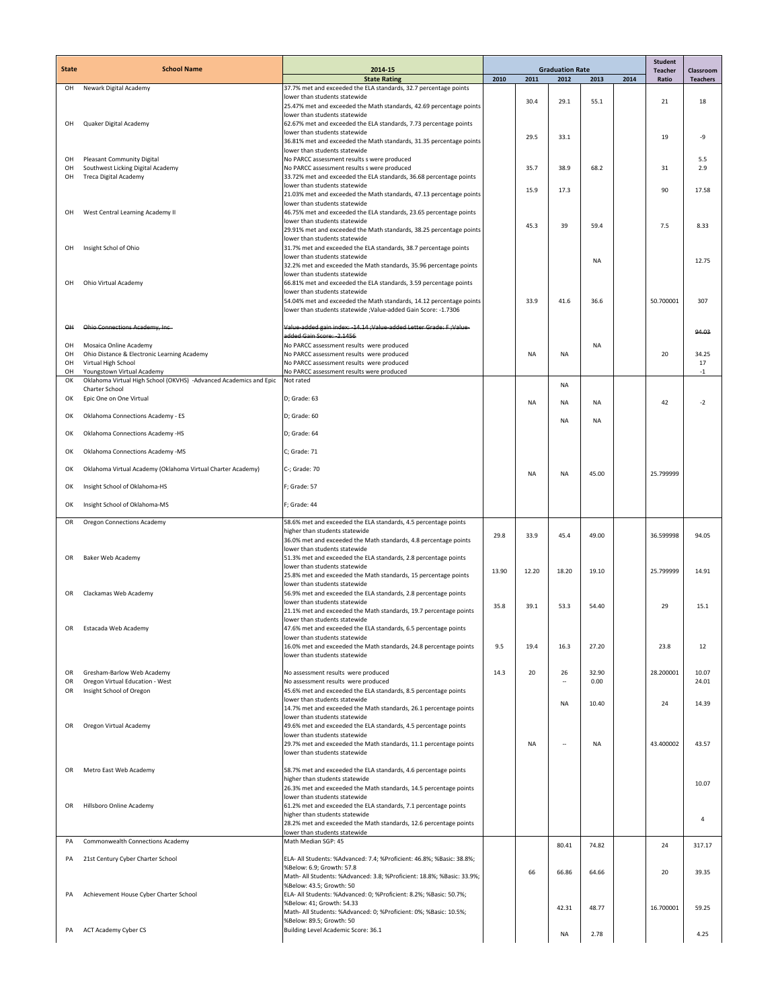| <b>State</b>   | <b>School Name</b>                                                | 2014-15                                                                                              | <b>Graduation Rate</b> |           |                          | <b>Student</b> |      |                         |                              |
|----------------|-------------------------------------------------------------------|------------------------------------------------------------------------------------------------------|------------------------|-----------|--------------------------|----------------|------|-------------------------|------------------------------|
|                |                                                                   | <b>State Rating</b>                                                                                  | 2010                   | 2011      | 2012                     | 2013           | 2014 | <b>Teacher</b><br>Ratio | Classroom<br><b>Teachers</b> |
| OH             | Newark Digital Academy                                            | 37.7% met and exceeded the ELA standards, 32.7 percentage points<br>lower than students statewide    |                        |           |                          |                |      |                         |                              |
|                |                                                                   | 25.47% met and exceeded the Math standards, 42.69 percentage points                                  |                        | 30.4      | 29.1                     | 55.1           |      | 21                      | 18                           |
| OH             |                                                                   | lower than students statewide<br>62.67% met and exceeded the ELA standards, 7.73 percentage points   |                        |           |                          |                |      |                         |                              |
|                | Quaker Digital Academy                                            | lower than students statewide                                                                        |                        | 29.5      | 33.1                     |                |      | 19                      | $-9$                         |
|                |                                                                   | 36.81% met and exceeded the Math standards, 31.35 percentage points                                  |                        |           |                          |                |      |                         |                              |
| OH             | <b>Pleasant Community Digital</b>                                 | lower than students statewide<br>No PARCC assessment results s were produced                         |                        |           |                          |                |      |                         | 5.5                          |
| OH<br>OH       | Southwest Licking Digital Academy                                 | No PARCC assessment results s were produced                                                          |                        | 35.7      | 38.9                     | 68.2           |      | 31                      | 2.9                          |
|                | Treca Digital Academy                                             | 33.72% met and exceeded the ELA standards, 36.68 percentage points<br>lower than students statewide  |                        | 15.9      | 17.3                     |                |      | 90                      | 17.58                        |
|                |                                                                   | 21.03% met and exceeded the Math standards, 47.13 percentage points<br>lower than students statewide |                        |           |                          |                |      |                         |                              |
| OH             | West Central Learning Academy II                                  | 46.75% met and exceeded the ELA standards, 23.65 percentage points                                   |                        |           |                          |                |      |                         |                              |
|                |                                                                   | lower than students statewide                                                                        |                        | 45.3      | 39                       | 59.4           |      | 7.5                     | 8.33                         |
|                |                                                                   | 29.91% met and exceeded the Math standards, 38.25 percentage points<br>lower than students statewide |                        |           |                          |                |      |                         |                              |
| OH             | Insight Schol of Ohio                                             | 31.7% met and exceeded the ELA standards, 38.7 percentage points                                     |                        |           |                          |                |      |                         |                              |
|                |                                                                   | lower than students statewide<br>32.2% met and exceeded the Math standards, 35.96 percentage points  |                        |           |                          | <b>NA</b>      |      |                         | 12.75                        |
|                |                                                                   | lower than students statewide                                                                        |                        |           |                          |                |      |                         |                              |
| OH             | Ohio Virtual Academy                                              | 66.81% met and exceeded the ELA standards, 3.59 percentage points<br>lower than students statewide   |                        |           |                          |                |      |                         |                              |
|                |                                                                   | 54.04% met and exceeded the Math standards, 14.12 percentage points                                  |                        | 33.9      | 41.6                     | 36.6           |      | 50.700001               | 307                          |
|                |                                                                   | lower than students statewide ; Value-added Gain Score: -1.7306                                      |                        |           |                          |                |      |                         |                              |
| $\overline{a}$ | Ohio Connections Academy, Inc.                                    | Value-added gain index: -14.14 ;Value-added Letter Grade: F ;Value-                                  |                        |           |                          |                |      |                         | 94.03                        |
| OH             | Mosaica Online Academy                                            | added Gain Score: 2.1456<br>No PARCC assessment results were produced                                |                        |           |                          | <b>NA</b>      |      |                         |                              |
| OH             | Ohio Distance & Electronic Learning Academy                       | No PARCC assessment results were produced                                                            |                        | <b>NA</b> | NA                       |                |      | 20                      | 34.25                        |
| OH<br>OH       | Virtual High School<br>Youngstown Virtual Academy                 | No PARCC assessment results were produced<br>No PARCC assessment results were produced               |                        |           |                          |                |      |                         | 17<br>$^{\rm -1}$            |
| ОК             | Oklahoma Virtual High School (OKVHS) -Advanced Academics and Epic | Not rated                                                                                            |                        |           | <b>NA</b>                |                |      |                         |                              |
| ок             | Charter School<br>Epic One on One Virtual                         | D; Grade: 63                                                                                         |                        |           |                          |                |      |                         |                              |
|                |                                                                   |                                                                                                      |                        | <b>NA</b> | NA                       | <b>NA</b>      |      | 42                      | $-2$                         |
| ОК             | Oklahoma Connections Academy - ES                                 | D; Grade: 60                                                                                         |                        |           | NA                       | <b>NA</b>      |      |                         |                              |
| OK             | Oklahoma Connections Academy -HS                                  | D; Grade: 64                                                                                         |                        |           |                          |                |      |                         |                              |
| ОК             | Oklahoma Connections Academy -MS                                  | C; Grade: 71                                                                                         |                        |           |                          |                |      |                         |                              |
| OK             | Oklahoma Virtual Academy (Oklahoma Virtual Charter Academy)       | C-; Grade: 70                                                                                        |                        | <b>NA</b> | NA                       | 45.00          |      | 25.799999               |                              |
| OK             | Insight School of Oklahoma-HS                                     | F; Grade: 57                                                                                         |                        |           |                          |                |      |                         |                              |
| ОК             | Insight School of Oklahoma-MS                                     | F; Grade: 44                                                                                         |                        |           |                          |                |      |                         |                              |
| OR             | <b>Oregon Connections Academy</b>                                 | 58.6% met and exceeded the ELA standards, 4.5 percentage points                                      |                        |           |                          |                |      |                         |                              |
|                |                                                                   | higher than students statewide<br>36.0% met and exceeded the Math standards, 4.8 percentage points   | 29.8                   | 33.9      | 45.4                     | 49.00          |      | 36.599998               | 94.05                        |
|                |                                                                   | lower than students statewide                                                                        |                        |           |                          |                |      |                         |                              |
| OR.            | <b>Baker Web Academy</b>                                          | 51.3% met and exceeded the ELA standards, 2.8 percentage points<br>lower than students statewide     |                        |           |                          |                |      |                         |                              |
|                |                                                                   | 25.8% met and exceeded the Math standards, 15 percentage points                                      | 13.90                  | 12.20     | 18.20                    | 19.10          |      | 25.799999               | 14.91                        |
| OR             | Clackamas Web Academy                                             | lower than students statewide<br>56.9% met and exceeded the ELA standards, 2.8 percentage points     |                        |           |                          |                |      |                         |                              |
|                |                                                                   | lower than students statewide                                                                        | 35.8                   | 39.1      | 53.3                     | 54.40          |      | 29                      | 15.1                         |
|                |                                                                   | 21.1% met and exceeded the Math standards, 19.7 percentage points                                    |                        |           |                          |                |      |                         |                              |
| OR             | Estacada Web Academy                                              | lower than students statewide<br>47.6% met and exceeded the ELA standards, 6.5 percentage points     |                        |           |                          |                |      |                         |                              |
|                |                                                                   | lower than students statewide                                                                        |                        |           |                          |                |      |                         |                              |
|                |                                                                   | 16.0% met and exceeded the Math standards, 24.8 percentage points<br>lower than students statewide   | 9.5                    | 19.4      | 16.3                     | 27.20          |      | 23.8                    | 12                           |
| OR             | Gresham-Barlow Web Academy                                        | No assessment results were produced                                                                  | 14.3                   | 20        | 26                       | 32.90          |      | 28.200001               | 10.07                        |
| OR             | Oregon Virtual Education - West                                   | No assessment results were produced                                                                  |                        |           | ц.                       | 0.00           |      |                         | 24.01                        |
| OR             | Insight School of Oregon                                          | 45.6% met and exceeded the ELA standards, 8.5 percentage points<br>lower than students statewide     |                        |           |                          |                |      |                         |                              |
|                |                                                                   | 14.7% met and exceeded the Math standards, 26.1 percentage points                                    |                        |           | <b>NA</b>                | 10.40          |      | 24                      | 14.39                        |
|                |                                                                   | lower than students statewide                                                                        |                        |           |                          |                |      |                         |                              |
| OR             | Oregon Virtual Academy                                            | 49.6% met and exceeded the ELA standards, 4.5 percentage points<br>lower than students statewide     |                        |           |                          |                |      |                         |                              |
|                |                                                                   | 29.7% met and exceeded the Math standards, 11.1 percentage points                                    |                        | <b>NA</b> | $\overline{\phantom{a}}$ | <b>NA</b>      |      | 43.400002               | 43.57                        |
|                |                                                                   | lower than students statewide                                                                        |                        |           |                          |                |      |                         |                              |
| OR.            | Metro East Web Academy                                            | 58.7% met and exceeded the ELA standards, 4.6 percentage points<br>higher than students statewide    |                        |           |                          |                |      |                         |                              |
|                |                                                                   | 26.3% met and exceeded the Math standards, 14.5 percentage points                                    |                        |           |                          |                |      |                         | 10.07                        |
|                |                                                                   | lower than students statewide                                                                        |                        |           |                          |                |      |                         |                              |
| OR             | Hillsboro Online Academy                                          | 61.2% met and exceeded the ELA standards, 7.1 percentage points<br>higher than students statewide    |                        |           |                          |                |      |                         |                              |
|                |                                                                   | 28.2% met and exceeded the Math standards, 12.6 percentage points                                    |                        |           |                          |                |      |                         | $\overline{4}$               |
| PA             | Commonwealth Connections Academy                                  | lower than students statewide<br>Math Median SGP: 45                                                 |                        |           |                          |                |      |                         |                              |
|                |                                                                   |                                                                                                      |                        |           | 80.41                    | 74.82          |      | 24                      | 317.17                       |
| PA             | 21st Century Cyber Charter School                                 | ELA- All Students: %Advanced: 7.4; %Proficient: 46.8%; %Basic: 38.8%;<br>%Below: 6.9; Growth: 57.8   |                        |           |                          |                |      |                         |                              |
|                |                                                                   | Math- All Students: %Advanced: 3.8; %Proficient: 18.8%; %Basic: 33.9%;                               |                        | 66        | 66.86                    | 64.66          |      | 20                      | 39.35                        |
| PA             | Achievement House Cyber Charter School                            | %Below: 43.5; Growth: 50<br>ELA- All Students: %Advanced: 0; %Proficient: 8.2%; %Basic: 50.7%;       |                        |           |                          |                |      |                         |                              |
|                |                                                                   | %Below: 41; Growth: 54.33                                                                            |                        |           | 42.31                    | 48.77          |      | 16.700001               | 59.25                        |
|                |                                                                   | Math- All Students: %Advanced: 0; %Proficient: 0%; %Basic: 10.5%;<br>%Below: 89.5; Growth: 50        |                        |           |                          |                |      |                         |                              |
| PA             | ACT Academy Cyber CS                                              | Building Level Academic Score: 36.1                                                                  |                        |           | NA                       | 2.78           |      |                         | 4.25                         |
|                |                                                                   |                                                                                                      |                        |           |                          |                |      |                         |                              |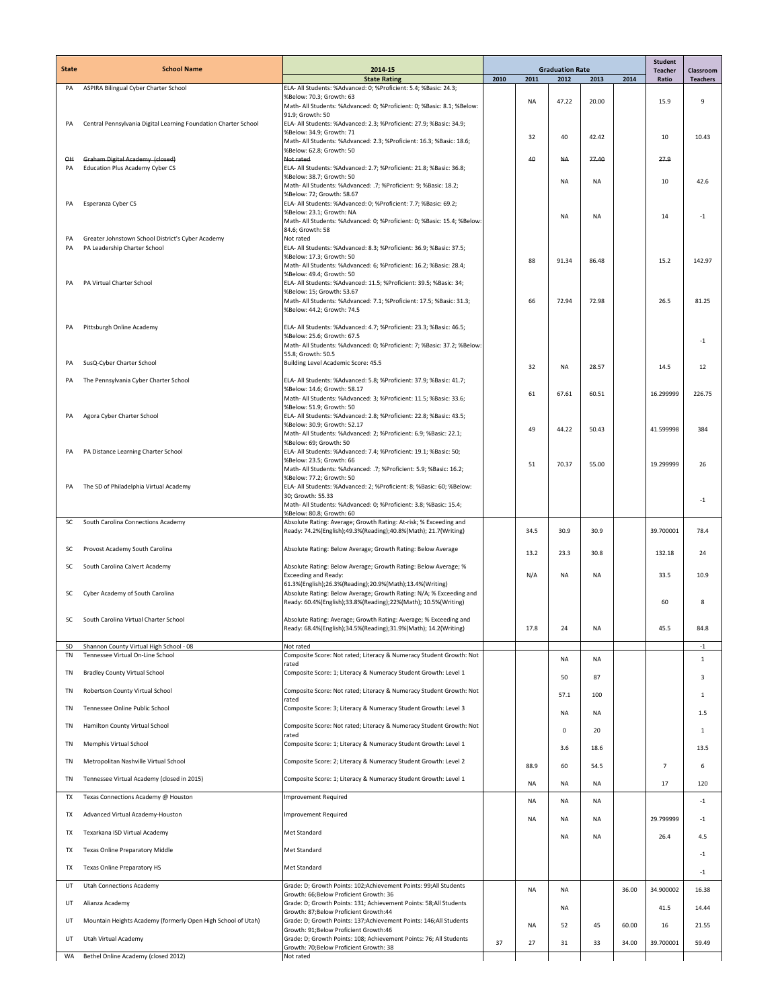| <b>State</b> | <b>School Name</b>                                                          | 2014-15                                                                                                                              | <b>Graduation Rate</b> |           |           | <b>Student</b><br><b>Teacher</b> | <b>Classroom</b> |                |                 |
|--------------|-----------------------------------------------------------------------------|--------------------------------------------------------------------------------------------------------------------------------------|------------------------|-----------|-----------|----------------------------------|------------------|----------------|-----------------|
|              |                                                                             | <b>State Rating</b>                                                                                                                  | 2010                   | 2011      | 2012      | 2013                             | 2014             | Ratio          | <b>Teachers</b> |
| PA           | ASPIRA Bilingual Cyber Charter School                                       | ELA- All Students: %Advanced: 0; %Proficient: 5.4; %Basic: 24.3;<br>%Below: 70.3; Growth: 63                                         |                        |           |           |                                  |                  |                |                 |
|              |                                                                             | Math- All Students: %Advanced: 0; %Proficient: 0; %Basic: 8.1; %Below:<br>91.9; Growth: 50                                           |                        | <b>NA</b> | 47.22     | 20.00                            |                  | 15.9           | 9               |
| PA           | Central Pennsylvania Digital Learning Foundation Charter School             | ELA- All Students: %Advanced: 2.3; %Proficient: 27.9; %Basic: 34.9;                                                                  |                        |           |           |                                  |                  |                |                 |
|              |                                                                             | %Below: 34.9; Growth: 71<br>Math- All Students: %Advanced: 2.3; %Proficient: 16.3; %Basic: 18.6;                                     |                        | 32        | 40        | 42.42                            |                  | 10             | 10.43           |
|              |                                                                             | %Below: 62.8; Growth: 50                                                                                                             |                        |           |           |                                  |                  |                |                 |
| Q₩<br>PA     | Graham Digital Academy (closed)<br>Education Plus Academy Cyber CS          | Not rated<br>ELA- All Students: %Advanced: 2.7; %Proficient: 21.8; %Basic: 36.8;                                                     |                        | 40        | <b>NA</b> | 77.40                            |                  | 27.9           |                 |
|              |                                                                             | %Below: 38.7; Growth: 50                                                                                                             |                        |           | <b>NA</b> | NA                               |                  | 10             | 42.6            |
|              |                                                                             | Math- All Students: %Advanced: .7; %Proficient: 9; %Basic: 18.2;<br>%Below: 72; Growth: 58.67                                        |                        |           |           |                                  |                  |                |                 |
| PA           | Esperanza Cyber CS                                                          | ELA- All Students: %Advanced: 0; %Proficient: 7.7; %Basic: 69.2;                                                                     |                        |           |           |                                  |                  |                |                 |
|              |                                                                             | %Below: 23.1: Growth: NA<br>Math- All Students: %Advanced: 0; %Proficient: 0; %Basic: 15.4; %Below:                                  |                        |           | <b>NA</b> | NA                               |                  | 14             | $-1$            |
| PA           | Greater Johnstown School District's Cyber Academy                           | 84.6; Growth: 58<br>Not rated                                                                                                        |                        |           |           |                                  |                  |                |                 |
| PA           | PA Leadership Charter School                                                | ELA- All Students: %Advanced: 8.3; %Proficient: 36.9; %Basic: 37.5;                                                                  |                        |           |           |                                  |                  |                |                 |
|              |                                                                             | %Below: 17.3; Growth: 50<br>Math- All Students: %Advanced: 6; %Proficient: 16.2; %Basic: 28.4;                                       |                        | 88        | 91.34     | 86.48                            |                  | 15.2           | 142.97          |
|              |                                                                             | %Below: 49.4; Growth: 50                                                                                                             |                        |           |           |                                  |                  |                |                 |
| PA           | PA Virtual Charter School                                                   | ELA- All Students: %Advanced: 11.5; %Proficient: 39.5; %Basic: 34;<br>%Below: 15; Growth: 53.67                                      |                        |           |           |                                  |                  |                |                 |
|              |                                                                             | Math- All Students: %Advanced: 7.1; %Proficient: 17.5; %Basic: 31.3;                                                                 |                        | 66        | 72.94     | 72.98                            |                  | 26.5           | 81.25           |
|              |                                                                             | %Below: 44.2; Growth: 74.5                                                                                                           |                        |           |           |                                  |                  |                |                 |
| PA           | Pittsburgh Online Academy                                                   | ELA- All Students: %Advanced: 4.7; %Proficient: 23.3; %Basic: 46.5;<br>%Below: 25.6; Growth: 67.5                                    |                        |           |           |                                  |                  |                |                 |
|              |                                                                             | Math- All Students: %Advanced: 0; %Proficient: 7; %Basic: 37.2; %Below:                                                              |                        |           |           |                                  |                  |                | $-1$            |
| PA           | SusQ-Cyber Charter School                                                   | 55.8; Growth: 50.5<br>Building Level Academic Score: 45.5                                                                            |                        |           |           |                                  |                  |                |                 |
|              |                                                                             |                                                                                                                                      |                        | 32        | <b>NA</b> | 28.57                            |                  | 14.5           | 12              |
| PA           | The Pennsylvania Cyber Charter School                                       | ELA- All Students: %Advanced: 5.8; %Proficient: 37.9; %Basic: 41.7;<br>%Below: 14.6; Growth: 58.17                                   |                        |           |           |                                  |                  |                |                 |
|              |                                                                             | Math- All Students: %Advanced: 3; %Proficient: 11.5; %Basic: 33.6;                                                                   |                        | 61        | 67.61     | 60.51                            |                  | 16.299999      | 226.75          |
| PA           | Agora Cyber Charter School                                                  | %Below: 51.9; Growth: 50<br>ELA- All Students: %Advanced: 2.8; %Proficient: 22.8; %Basic: 43.5;                                      |                        |           |           |                                  |                  |                |                 |
|              |                                                                             | %Below: 30.9; Growth: 52.17                                                                                                          |                        | 49        | 44.22     | 50.43                            |                  | 41.599998      | 384             |
|              |                                                                             | Math- All Students: %Advanced: 2; %Proficient: 6.9; %Basic: 22.1;<br>%Below: 69; Growth: 50                                          |                        |           |           |                                  |                  |                |                 |
| PA           | PA Distance Learning Charter School                                         | ELA- All Students: %Advanced: 7.4; %Proficient: 19.1; %Basic: 50;<br>%Below: 23.5; Growth: 66                                        |                        |           |           |                                  |                  |                |                 |
|              |                                                                             | Math- All Students: %Advanced: .7; %Proficient: 5.9; %Basic: 16.2;                                                                   |                        | 51        | 70.37     | 55.00                            |                  | 19.299999      | 26              |
| PA           | The SD of Philadelphia Virtual Academy                                      | %Below: 77.2; Growth: 50<br>ELA- All Students: %Advanced: 2; %Proficient: 8; %Basic: 60; %Below:                                     |                        |           |           |                                  |                  |                |                 |
|              |                                                                             | 30; Growth: 55.33                                                                                                                    |                        |           |           |                                  |                  |                | $-1$            |
|              |                                                                             | Math- All Students: %Advanced: 0; %Proficient: 3.8; %Basic: 15.4;<br>%Below: 80.8; Growth: 60                                        |                        |           |           |                                  |                  |                |                 |
| SC           | South Carolina Connections Academy                                          | Absolute Rating: Average; Growth Rating: At-risk; % Exceeding and<br>Ready: 74.2%(English);49.3%(Reading);40.8%(Math); 21.7(Writing) |                        | 34.5      | 30.9      | 30.9                             |                  | 39.700001      | 78.4            |
|              |                                                                             |                                                                                                                                      |                        |           |           |                                  |                  |                |                 |
| SC           | Provost Academy South Carolina                                              | Absolute Rating: Below Average; Growth Rating: Below Average                                                                         |                        | 13.2      | 23.3      | 30.8                             |                  | 132.18         | 24              |
| SC           | South Carolina Calvert Academy                                              | Absolute Rating: Below Average; Growth Rating: Below Average; %                                                                      |                        |           |           |                                  |                  |                |                 |
|              |                                                                             | <b>Exceeding and Ready:</b><br>61.3%(English);26.3%(Reading);20.9%(Math);13.4%(Writing)                                              |                        | N/A       | <b>NA</b> | <b>NA</b>                        |                  | 33.5           | 10.9            |
| SC           | Cyber Academy of South Carolina                                             | Absolute Rating: Below Average; Growth Rating: N/A; % Exceeding and                                                                  |                        |           |           |                                  |                  |                |                 |
|              |                                                                             | Ready: 60.4%(English);33.8%(Reading);22%(Math); 10.5%(Writing)                                                                       |                        |           |           |                                  |                  | 60             | 8               |
| SC           | South Carolina Virtual Charter School                                       | Absolute Rating: Average; Growth Rating: Average; % Exceeding and                                                                    |                        | 17.8      | 24        | NA                               |                  | 45.5           | 84.8            |
|              |                                                                             | Ready: 68.4%(English);34.5%(Reading);31.9%(Math); 14.2(Writing)                                                                      |                        |           |           |                                  |                  |                |                 |
| SD<br>TN     | Shannon County Virtual High School - 08<br>Tennessee Virtual On-Line School | Not rated<br>Composite Score: Not rated; Literacy & Numeracy Student Growth: Not                                                     |                        |           |           |                                  |                  |                | $-1$            |
| TN           | <b>Bradley County Virtual School</b>                                        | rated                                                                                                                                |                        |           | NA        | NA                               |                  |                | $\,1\,$         |
|              |                                                                             | Composite Score: 1; Literacy & Numeracy Student Growth: Level 1                                                                      |                        |           | 50        | 87                               |                  |                | 3               |
| TN           | Robertson County Virtual School                                             | Composite Score: Not rated; Literacy & Numeracy Student Growth: Not<br>rated                                                         |                        |           | 57.1      | 100                              |                  |                | 1               |
| TN           | Tennessee Online Public School                                              | Composite Score: 3; Literacy & Numeracy Student Growth: Level 3                                                                      |                        |           | <b>NA</b> | NA                               |                  |                | 1.5             |
| TN           | Hamilton County Virtual School                                              | Composite Score: Not rated; Literacy & Numeracy Student Growth: Not                                                                  |                        |           |           |                                  |                  |                |                 |
|              |                                                                             | rated                                                                                                                                |                        |           | 0         | 20                               |                  |                | 1               |
| TN           | Memphis Virtual School                                                      | Composite Score: 1; Literacy & Numeracy Student Growth: Level 1                                                                      |                        |           | 3.6       | 18.6                             |                  |                | 13.5            |
| <b>TN</b>    | Metropolitan Nashville Virtual School                                       | Composite Score: 2; Literacy & Numeracy Student Growth: Level 2                                                                      |                        | 88.9      | 60        | 54.5                             |                  | $\overline{7}$ | 6               |
| TN           | Tennessee Virtual Academy (closed in 2015)                                  | Composite Score: 1; Literacy & Numeracy Student Growth: Level 1                                                                      |                        | <b>NA</b> | <b>NA</b> | <b>NA</b>                        |                  | 17             | 120             |
| TX           | Texas Connections Academy @ Houston                                         | <b>Improvement Required</b>                                                                                                          |                        |           |           |                                  |                  |                |                 |
|              |                                                                             |                                                                                                                                      |                        | NA        | <b>NA</b> | NA                               |                  |                | $-1$            |
| TX           | Advanced Virtual Academy-Houston                                            | <b>Improvement Required</b>                                                                                                          |                        | NA        | <b>NA</b> | <b>NA</b>                        |                  | 29.799999      | $-1$            |
| TX           | Texarkana ISD Virtual Academy                                               | Met Standard                                                                                                                         |                        |           | <b>NA</b> | NA                               |                  | 26.4           | 4.5             |
| TX           | Texas Online Preparatory Middle                                             | Met Standard                                                                                                                         |                        |           |           |                                  |                  |                | $-1$            |
| TX           | Texas Online Preparatory HS                                                 | Met Standard                                                                                                                         |                        |           |           |                                  |                  |                |                 |
|              |                                                                             |                                                                                                                                      |                        |           |           |                                  |                  |                | $-1$            |
| UT           | <b>Utah Connections Academy</b>                                             | Grade: D; Growth Points: 102; Achievement Points: 99; All Students<br>Growth: 66; Below Proficient Growth: 36                        |                        | <b>NA</b> | <b>NA</b> |                                  | 36.00            | 34.900002      | 16.38           |
| UT           | Alianza Academy                                                             | Grade: D; Growth Points: 131; Achievement Points: 58;All Students                                                                    |                        |           | <b>NA</b> |                                  |                  | 41.5           | 14.44           |
| UT           | Mountain Heights Academy (formerly Open High School of Utah)                | Growth: 87; Below Proficient Growth: 44<br>Grade: D; Growth Points: 137; Achievement Points: 146; All Students                       |                        | <b>NA</b> | 52        | 45                               | 60.00            | 16             | 21.55           |
| UT           | Utah Virtual Academy                                                        | Growth: 91;Below Proficient Growth:46<br>Grade: D; Growth Points: 108; Achievement Points: 76; All Students                          |                        |           |           |                                  |                  |                |                 |
|              |                                                                             | Growth: 70;Below Proficient Growth: 38                                                                                               | 37                     | 27        | 31        | 33                               | 34.00            | 39.700001      | 59.49           |
| WA           | Bethel Online Academy (closed 2012)                                         | Not rated                                                                                                                            |                        |           |           |                                  |                  |                |                 |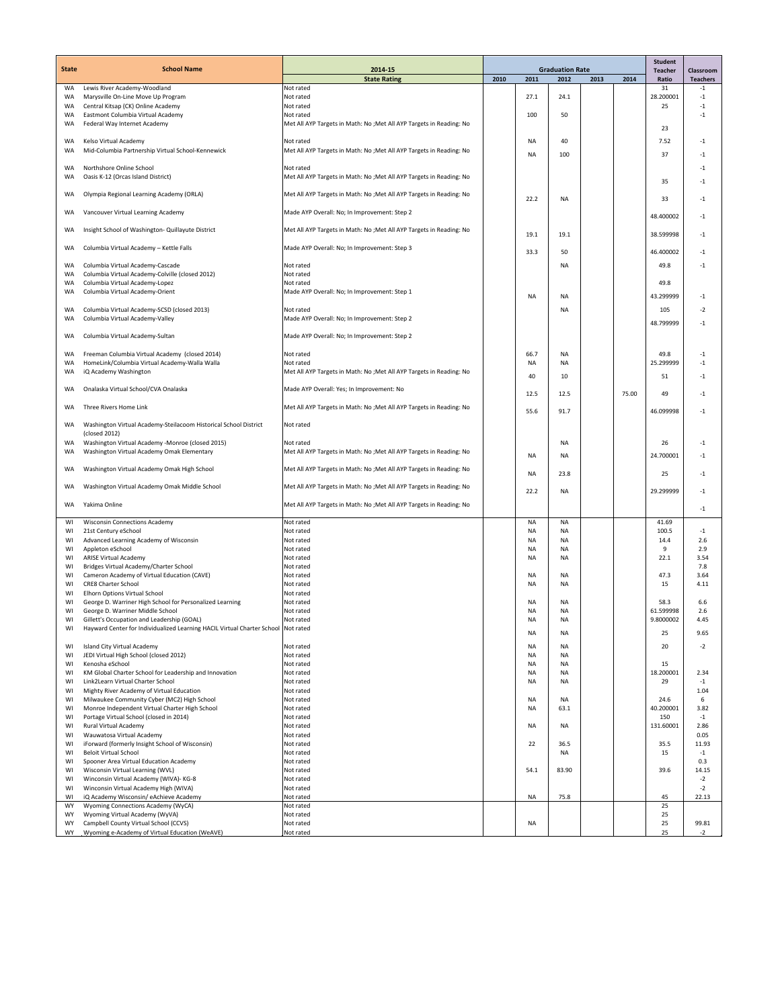|                 |                                                                                                |                                                                                   | <b>Graduation Rate</b> |           |            |      | <b>Student</b> |                         |                              |
|-----------------|------------------------------------------------------------------------------------------------|-----------------------------------------------------------------------------------|------------------------|-----------|------------|------|----------------|-------------------------|------------------------------|
| <b>State</b>    | <b>School Name</b>                                                                             | 2014-15<br><b>State Rating</b>                                                    | 2010                   | 2011      | 2012       | 2013 | 2014           | <b>Teacher</b><br>Ratio | Classroom<br><b>Teachers</b> |
| WA              | Lewis River Academy-Woodland                                                                   | Not rated                                                                         |                        |           |            |      |                | 31                      | $-1$                         |
| <b>WA</b><br>WA | Marysville On-Line Move Up Program                                                             | Not rated<br>Not rated                                                            |                        | 27.1      | 24.1       |      |                | 28.200001<br>25         | $-1$<br>$-1$                 |
| <b>WA</b>       | Central Kitsap (CK) Online Academy<br>Eastmont Columbia Virtual Academy                        | Not rated                                                                         |                        | 100       | 50         |      |                |                         | $-1$                         |
| <b>WA</b>       | Federal Way Internet Academy                                                                   | Met All AYP Targets in Math: No ; Met All AYP Targets in Reading: No              |                        |           |            |      |                | 23                      |                              |
|                 |                                                                                                |                                                                                   |                        |           |            |      |                |                         |                              |
| WA<br>WA        | Kelso Virtual Academy<br>Mid-Columbia Partnership Virtual School-Kennewick                     | Not rated<br>Met All AYP Targets in Math: No ; Met All AYP Targets in Reading: No |                        | NA        | 40         |      |                | 7.52                    | $-1$                         |
|                 |                                                                                                |                                                                                   |                        | NA        | 100        |      |                | 37                      | $-1$                         |
| WA              | Northshore Online School                                                                       | Not rated                                                                         |                        |           |            |      |                |                         | $-1$                         |
| WA              | Oasis K-12 (Orcas Island District)                                                             | Met All AYP Targets in Math: No ; Met All AYP Targets in Reading: No              |                        |           |            |      |                | 35                      | $-1$                         |
| WA              | Olympia Regional Learning Academy (ORLA)                                                       | Met All AYP Targets in Math: No ; Met All AYP Targets in Reading: No              |                        | 22.2      | NA         |      |                | 33                      | $-1$                         |
|                 |                                                                                                |                                                                                   |                        |           |            |      |                |                         |                              |
| WA              | Vancouver Virtual Learning Academy                                                             | Made AYP Overall: No; In Improvement: Step 2                                      |                        |           |            |      |                | 48.400002               | $-1$                         |
| <b>WA</b>       | Insight School of Washington- Quillayute District                                              | Met All AYP Targets in Math: No ; Met All AYP Targets in Reading: No              |                        | 19.1      | 19.1       |      |                | 38.599998               | $-1$                         |
|                 |                                                                                                |                                                                                   |                        |           |            |      |                |                         |                              |
| WA              | Columbia Virtual Academy - Kettle Falls                                                        | Made AYP Overall: No; In Improvement: Step 3                                      |                        | 33.3      | 50         |      |                | 46.400002               | $-1$                         |
| WA              | Columbia Virtual Academy-Cascade                                                               | Not rated                                                                         |                        |           | <b>NA</b>  |      |                | 49.8                    | $-1$                         |
| WA              | Columbia Virtual Academy-Colville (closed 2012)                                                | Not rated                                                                         |                        |           |            |      |                |                         |                              |
| <b>WA</b>       | Columbia Virtual Academy-Lopez<br>Columbia Virtual Academy-Orient                              | Not rated                                                                         |                        |           |            |      |                | 49.8                    |                              |
| WA              |                                                                                                | Made AYP Overall: No; In Improvement: Step 1                                      |                        | NA        | <b>NA</b>  |      |                | 43.299999               | $-1$                         |
| <b>WA</b>       | Columbia Virtual Academy-SCSD (closed 2013)                                                    | Not rated                                                                         |                        |           | <b>NA</b>  |      |                | 105                     | -2                           |
| WA              | Columbia Virtual Academy-Valley                                                                | Made AYP Overall: No; In Improvement: Step 2                                      |                        |           |            |      |                | 48.799999               | -1                           |
| WA              | Columbia Virtual Academy-Sultan                                                                | Made AYP Overall: No; In Improvement: Step 2                                      |                        |           |            |      |                |                         |                              |
|                 |                                                                                                |                                                                                   |                        |           |            |      |                |                         |                              |
| WA              | Freeman Columbia Virtual Academy (closed 2014)                                                 | Not rated                                                                         |                        | 66.7      | <b>NA</b>  |      |                | 49.8                    | $-1$                         |
| WA<br>WA        | HomeLink/Columbia Virtual Academy-Walla Walla<br>iQ Academy Washington                         | Not rated<br>Met All AYP Targets in Math: No ; Met All AYP Targets in Reading: No |                        | NA        | NA         |      |                | 25.299999               | $-1$                         |
|                 |                                                                                                |                                                                                   |                        | 40        | 10         |      |                | 51                      | $-1$                         |
| WA              | Onalaska Virtual School/CVA Onalaska                                                           | Made AYP Overall: Yes; In Improvement: No                                         |                        | 12.5      | 12.5       |      | 75.00          | 49                      | $-1$                         |
| <b>WA</b>       | Three Rivers Home Link                                                                         | Met All AYP Targets in Math: No ; Met All AYP Targets in Reading: No              |                        |           |            |      |                |                         |                              |
|                 |                                                                                                |                                                                                   |                        | 55.6      | 91.7       |      |                | 46.099998               | $-1$                         |
| WA              | Washington Virtual Academy-Steilacoom Historical School District                               | Not rated                                                                         |                        |           |            |      |                |                         |                              |
|                 | (closed 2012)                                                                                  |                                                                                   |                        |           |            |      |                |                         |                              |
| WA<br>WA        | Washington Virtual Academy -Monroe (closed 2015)<br>Washington Virtual Academy Omak Elementary | Not rated<br>Met All AYP Targets in Math: No ; Met All AYP Targets in Reading: No |                        |           | NA         |      |                | 26                      | $-1$                         |
|                 |                                                                                                |                                                                                   |                        | <b>NA</b> | NA         |      |                | 24.700001               | $-1$                         |
| WA              | Washington Virtual Academy Omak High School                                                    | Met All AYP Targets in Math: No ; Met All AYP Targets in Reading: No              |                        | NA        | 23.8       |      |                | 25                      | $-1$                         |
| WA              | Washington Virtual Academy Omak Middle School                                                  | Met All AYP Targets in Math: No ; Met All AYP Targets in Reading: No              |                        |           |            |      |                |                         |                              |
|                 |                                                                                                |                                                                                   |                        | 22.2      | <b>NA</b>  |      |                | 29.299999               | $-1$                         |
| WA              | Yakima Online                                                                                  | Met All AYP Targets in Math: No ; Met All AYP Targets in Reading: No              |                        |           |            |      |                |                         | $^{\rm -1}$                  |
| WI              | <b>Wisconsin Connections Academy</b>                                                           | Not rated                                                                         |                        | <b>NA</b> | <b>NA</b>  |      |                | 41.69                   |                              |
| WI              | 21st Century eSchool                                                                           | Not rated                                                                         |                        | NA        | ΝA         |      |                | 100.5                   | $-1$                         |
| WI              | Advanced Learning Academy of Wisconsin                                                         | Not rated                                                                         |                        | <b>NA</b> | NA         |      |                | 14.4                    | 2.6                          |
| WI              | Appleton eSchool                                                                               | Not rated                                                                         |                        | NA        | <b>NA</b>  |      |                | 9                       | 2.9                          |
| WI              | <b>ARISE Virtual Academy</b><br>Bridges Virtual Academy/Charter School                         | Not rated                                                                         |                        | NA        | ΝA         |      |                | 22.1                    | 3.54                         |
| WI<br>WI        | Cameron Academy of Virtual Education (CAVE)                                                    | Not rated<br>Not rated                                                            |                        | NA        | <b>NA</b>  |      |                | 47.3                    | 7.8<br>3.64                  |
| WI              | <b>CRE8 Charter School</b>                                                                     | Not rated                                                                         |                        | NA        | ΝA         |      |                | 15                      | 4.11                         |
| WI              | Elhorn Options Virtual School                                                                  | Not rated                                                                         |                        |           |            |      |                |                         |                              |
| WI              | George D. Warriner High School for Personalized Learning                                       | Not rated                                                                         |                        | NA        | NA         |      |                | 58.3                    | 6.6                          |
| WI              | George D. Warriner Middle School                                                               | Not rated                                                                         |                        | NA        | <b>NA</b>  |      |                | 61.599998               | 2.6                          |
| WI              | Gillett's Occupation and Leadership (GOAL)                                                     | Not rated                                                                         |                        | <b>NA</b> | <b>NA</b>  |      |                | 9.8000002               | 4.45                         |
| WI              | Hayward Center for Individualized Learning HACIL Virtual Charter School Not rated              |                                                                                   |                        | <b>NA</b> | NA         |      |                | 25                      | 9.65                         |
| WI              | Island City Virtual Academy                                                                    | Not rated                                                                         |                        | <b>NA</b> | NA         |      |                | 20                      | $-2$                         |
| WI              | JEDI Virtual High School (closed 2012)                                                         | Not rated                                                                         |                        | NA        | <b>NA</b>  |      |                |                         |                              |
| WI              | Kenosha eSchool                                                                                | Not rated                                                                         |                        | NA        | <b>NA</b>  |      |                | 15                      |                              |
| WI              | KM Global Charter School for Leadership and Innovation                                         | Not rated                                                                         |                        | NA        | NA         |      |                | 18.200001               | 2.34                         |
| WI<br>WI        | Link2Learn Virtual Charter School<br>Mighty River Academy of Virtual Education                 | Not rated<br>Not rated                                                            |                        | NA        | NA         |      |                | 29                      | $-1$<br>1.04                 |
| WI              | Milwaukee Community Cyber (MC2) High School                                                    | Not rated                                                                         |                        | <b>NA</b> | NA         |      |                | 24.6                    | 6                            |
| WI              | Monroe Independent Virtual Charter High School                                                 | Not rated                                                                         |                        | NA        | 63.1       |      |                | 40.200001               | 3.82                         |
| WI              | Portage Virtual School (closed in 2014)                                                        | Not rated                                                                         |                        |           |            |      |                | 150                     | $-1$                         |
| WI              | Rural Virtual Academy                                                                          | Not rated                                                                         |                        | NA        | NA         |      |                | 131.60001               | 2.86                         |
| WI              | Wauwatosa Virtual Academy                                                                      | Not rated<br>Not rated                                                            |                        |           |            |      |                |                         | 0.05                         |
| WI<br>WI        | iForward (formerly Insight School of Wisconsin)<br><b>Beloit Virtual School</b>                | Not rated                                                                         |                        | 22        | 36.5<br>NA |      |                | 35.5<br>15              | 11.93<br>$-1$                |
| WI              | Spooner Area Virtual Education Academy                                                         | Not rated                                                                         |                        |           |            |      |                |                         | 0.3                          |
| WI              | Wisconsin Virtual Learning (WVL)                                                               | Not rated                                                                         |                        | 54.1      | 83.90      |      |                | 39.6                    | 14.15                        |
| WI              | Winconsin Virtual Academy (WIVA)- KG-8                                                         | Not rated                                                                         |                        |           |            |      |                |                         | $-2$                         |
| WI<br>WI        | Winconsin Virtual Academy High (WIVA)<br>iQ Academy Wisconsin/ eAchieve Academy                | Not rated<br>Not rated                                                            |                        | NA        | 75.8       |      |                | 45                      | $-2$<br>22.13                |
| WY              | Wyoming Connections Academy (WyCA)                                                             | Not rated                                                                         |                        |           |            |      |                | 25                      |                              |
| WY              | Wyoming Virtual Academy (WyVA)                                                                 | Not rated                                                                         |                        |           |            |      |                | 25                      |                              |
| WY              | Campbell County Virtual School (CCVS)                                                          | Not rated                                                                         |                        | <b>NA</b> |            |      |                | 25                      | 99.81                        |
| WY              | Wyoming e-Academy of Virtual Education (WeAVE)                                                 | Not rated                                                                         |                        |           |            |      |                | 25                      | $-2$                         |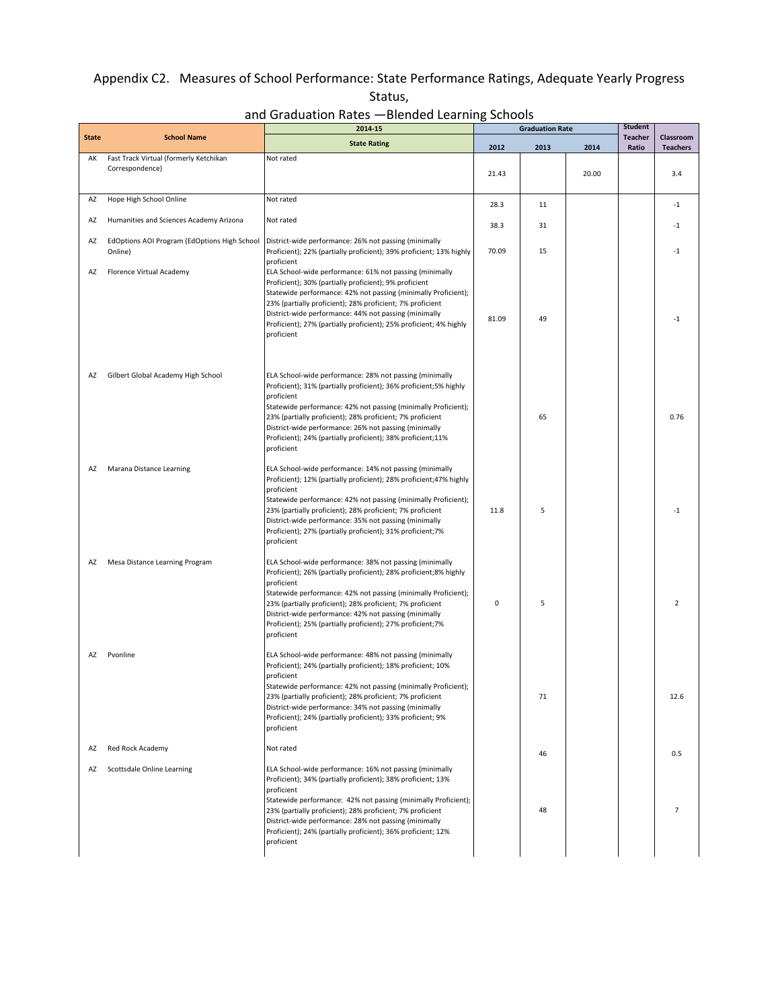## Appendix C2. Measures of School Performance: State Performance Ratings, Adequate Yearly Progress Status,

and Graduation Rates —Blended Learning Schools

|              |                                                           | 2014-15                                                                                                                                                                                                                                                                                                                                                                                                          | <b>Graduation Rate</b> |      |       | <b>Student</b>          |                              |
|--------------|-----------------------------------------------------------|------------------------------------------------------------------------------------------------------------------------------------------------------------------------------------------------------------------------------------------------------------------------------------------------------------------------------------------------------------------------------------------------------------------|------------------------|------|-------|-------------------------|------------------------------|
| <b>State</b> | <b>School Name</b>                                        | <b>State Rating</b>                                                                                                                                                                                                                                                                                                                                                                                              | 2012                   | 2013 | 2014  | <b>Teacher</b><br>Ratio | Classroom<br><b>Teachers</b> |
| AK           | Fast Track Virtual (formerly Ketchikan<br>Correspondence) | Not rated                                                                                                                                                                                                                                                                                                                                                                                                        | 21.43                  |      | 20.00 |                         | 3.4                          |
| AZ           | Hope High School Online                                   | Not rated                                                                                                                                                                                                                                                                                                                                                                                                        | 28.3                   | 11   |       |                         | $-1$                         |
| AZ           | Humanities and Sciences Academy Arizona                   | Not rated                                                                                                                                                                                                                                                                                                                                                                                                        | 38.3                   | 31   |       |                         | $-1$                         |
| AZ           | EdOptions AOI Program (EdOptions High School<br>Online)   | District-wide performance: 26% not passing (minimally<br>Proficient); 22% (partially proficient); 39% proficient; 13% highly<br>proficient                                                                                                                                                                                                                                                                       | 70.09                  | 15   |       |                         | $-1$                         |
| AZ           | Florence Virtual Academy                                  | ELA School-wide performance: 61% not passing (minimally<br>Proficient); 30% (partially proficient); 9% proficient<br>Statewide performance: 42% not passing (minimally Proficient);<br>23% (partially proficient); 28% proficient; 7% proficient<br>District-wide performance: 44% not passing (minimally<br>Proficient); 27% (partially proficient); 25% proficient; 4% highly<br>proficient                    | 81.09                  | 49   |       |                         | $-1$                         |
| AZ           | Gilbert Global Academy High School                        | ELA School-wide performance: 28% not passing (minimally<br>Proficient); 31% (partially proficient); 36% proficient; 5% highly<br>proficient<br>Statewide performance: 42% not passing (minimally Proficient);<br>23% (partially proficient); 28% proficient; 7% proficient<br>District-wide performance: 26% not passing (minimally<br>Proficient); 24% (partially proficient); 38% proficient;11%<br>proficient |                        | 65   |       |                         | 0.76                         |
| AZ           | Marana Distance Learning                                  | ELA School-wide performance: 14% not passing (minimally<br>Proficient); 12% (partially proficient); 28% proficient; 47% highly<br>proficient<br>Statewide performance: 42% not passing (minimally Proficient);<br>23% (partially proficient); 28% proficient; 7% proficient<br>District-wide performance: 35% not passing (minimally<br>Proficient); 27% (partially proficient); 31% proficient;7%<br>proficient | 11.8                   | 5    |       |                         | $-1$                         |
| AZ           | Mesa Distance Learning Program                            | ELA School-wide performance: 38% not passing (minimally<br>Proficient); 26% (partially proficient); 28% proficient; 8% highly<br>proficient<br>Statewide performance: 42% not passing (minimally Proficient);<br>23% (partially proficient); 28% proficient; 7% proficient<br>District-wide performance: 42% not passing (minimally<br>Proficient); 25% (partially proficient); 27% proficient; 7%<br>proficient | $\mathbf 0$            | 5    |       |                         | $\overline{2}$               |
| AZ           | Pvonline                                                  | ELA School-wide performance: 48% not passing (minimally<br>Proficient); 24% (partially proficient); 18% proficient; 10%<br>proficient<br>Statewide performance: 42% not passing (minimally Proficient);<br>23% (partially proficient); 28% proficient; 7% proficient<br>District-wide performance: 34% not passing (minimally<br>Proficient); 24% (partially proficient); 33% proficient; 9%<br>proficient       |                        | 71   |       |                         | 12.6                         |
| AZ           | Red Rock Academy                                          | Not rated                                                                                                                                                                                                                                                                                                                                                                                                        |                        | 46   |       |                         | 0.5                          |
| AZ           | Scottsdale Online Learning                                | ELA School-wide performance: 16% not passing (minimally<br>Proficient); 34% (partially proficient); 38% proficient; 13%<br>proficient<br>Statewide performance: 42% not passing (minimally Proficient);<br>23% (partially proficient); 28% proficient; 7% proficient<br>District-wide performance: 28% not passing (minimally<br>Proficient); 24% (partially proficient); 36% proficient; 12%<br>proficient      |                        | 48   |       |                         | $\overline{7}$               |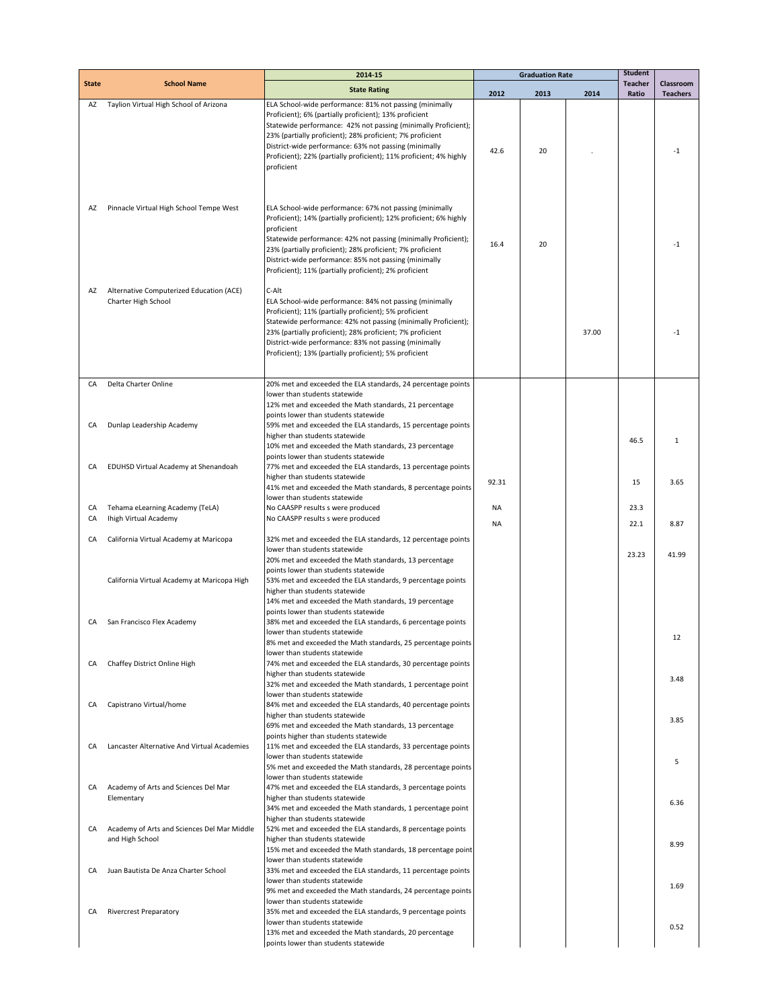|              |                                                                 | 2014-15                                                                                                                                                                                                                                                                                                                                                                                       | <b>Graduation Rate</b> |      |       | <b>Student</b>          |                              |
|--------------|-----------------------------------------------------------------|-----------------------------------------------------------------------------------------------------------------------------------------------------------------------------------------------------------------------------------------------------------------------------------------------------------------------------------------------------------------------------------------------|------------------------|------|-------|-------------------------|------------------------------|
| <b>State</b> | <b>School Name</b>                                              | <b>State Rating</b>                                                                                                                                                                                                                                                                                                                                                                           | 2012                   | 2013 | 2014  | <b>Teacher</b><br>Ratio | Classroom<br><b>Teachers</b> |
| AZ           | Taylion Virtual High School of Arizona                          | ELA School-wide performance: 81% not passing (minimally<br>Proficient); 6% (partially proficient); 13% proficient<br>Statewide performance: 42% not passing (minimally Proficient);<br>23% (partially proficient); 28% proficient; 7% proficient<br>District-wide performance: 63% not passing (minimally<br>Proficient); 22% (partially proficient); 11% proficient; 4% highly<br>proficient | 42.6                   | 20   |       |                         | $-1$                         |
| AZ           | Pinnacle Virtual High School Tempe West                         | ELA School-wide performance: 67% not passing (minimally<br>Proficient); 14% (partially proficient); 12% proficient; 6% highly<br>proficient<br>Statewide performance: 42% not passing (minimally Proficient);<br>23% (partially proficient); 28% proficient; 7% proficient<br>District-wide performance: 85% not passing (minimally<br>Proficient); 11% (partially proficient); 2% proficient | 16.4                   | 20   |       |                         | $-1$                         |
| AZ           | Alternative Computerized Education (ACE)<br>Charter High School | C-Alt<br>ELA School-wide performance: 84% not passing (minimally<br>Proficient); 11% (partially proficient); 5% proficient<br>Statewide performance: 42% not passing (minimally Proficient);<br>23% (partially proficient); 28% proficient; 7% proficient<br>District-wide performance: 83% not passing (minimally<br>Proficient); 13% (partially proficient); 5% proficient                  |                        |      | 37.00 |                         | $-1$                         |
| CA           | Delta Charter Online                                            | 20% met and exceeded the ELA standards, 24 percentage points                                                                                                                                                                                                                                                                                                                                  |                        |      |       |                         |                              |
|              |                                                                 | lower than students statewide<br>12% met and exceeded the Math standards, 21 percentage                                                                                                                                                                                                                                                                                                       |                        |      |       |                         |                              |
|              |                                                                 | points lower than students statewide                                                                                                                                                                                                                                                                                                                                                          |                        |      |       |                         |                              |
| CA           | Dunlap Leadership Academy                                       | 59% met and exceeded the ELA standards, 15 percentage points                                                                                                                                                                                                                                                                                                                                  |                        |      |       |                         |                              |
|              |                                                                 | higher than students statewide<br>10% met and exceeded the Math standards, 23 percentage                                                                                                                                                                                                                                                                                                      |                        |      |       | 46.5                    | 1                            |
|              |                                                                 | points lower than students statewide                                                                                                                                                                                                                                                                                                                                                          |                        |      |       |                         |                              |
| CA           | EDUHSD Virtual Academy at Shenandoah                            | 77% met and exceeded the ELA standards, 13 percentage points                                                                                                                                                                                                                                                                                                                                  |                        |      |       |                         |                              |
|              |                                                                 | higher than students statewide                                                                                                                                                                                                                                                                                                                                                                | 92.31                  |      |       | 15                      | 3.65                         |
|              |                                                                 | 41% met and exceeded the Math standards, 8 percentage points<br>lower than students statewide                                                                                                                                                                                                                                                                                                 |                        |      |       |                         |                              |
| CA           | Tehama eLearning Academy (TeLA)                                 | No CAASPP results s were produced                                                                                                                                                                                                                                                                                                                                                             | <b>NA</b>              |      |       | 23.3                    |                              |
| CA           | Ihigh Virtual Academy                                           | No CAASPP results s were produced                                                                                                                                                                                                                                                                                                                                                             | <b>NA</b>              |      |       | 22.1                    | 8.87                         |
| CA           | California Virtual Academy at Maricopa                          | 32% met and exceeded the ELA standards, 12 percentage points                                                                                                                                                                                                                                                                                                                                  |                        |      |       |                         |                              |
|              |                                                                 | lower than students statewide                                                                                                                                                                                                                                                                                                                                                                 |                        |      |       | 23.23                   | 41.99                        |
|              |                                                                 | 20% met and exceeded the Math standards, 13 percentage                                                                                                                                                                                                                                                                                                                                        |                        |      |       |                         |                              |
|              | California Virtual Academy at Maricopa High                     | points lower than students statewide<br>53% met and exceeded the ELA standards, 9 percentage points                                                                                                                                                                                                                                                                                           |                        |      |       |                         |                              |
|              |                                                                 | higher than students statewide                                                                                                                                                                                                                                                                                                                                                                |                        |      |       |                         |                              |
|              |                                                                 | 14% met and exceeded the Math standards, 19 percentage                                                                                                                                                                                                                                                                                                                                        |                        |      |       |                         |                              |
| CA           | San Francisco Flex Academy                                      | points lower than students statewide<br>38% met and exceeded the ELA standards, 6 percentage points                                                                                                                                                                                                                                                                                           |                        |      |       |                         |                              |
|              |                                                                 | lower than students statewide                                                                                                                                                                                                                                                                                                                                                                 |                        |      |       |                         | 14                           |
|              |                                                                 | 8% met and exceeded the Math standards, 25 percentage points                                                                                                                                                                                                                                                                                                                                  |                        |      |       |                         |                              |
| CA           | Chaffey District Online High                                    | lower than students statewide<br>74% met and exceeded the ELA standards, 30 percentage points                                                                                                                                                                                                                                                                                                 |                        |      |       |                         |                              |
|              |                                                                 | higher than students statewide                                                                                                                                                                                                                                                                                                                                                                |                        |      |       |                         | 3.48                         |
|              |                                                                 | 32% met and exceeded the Math standards, 1 percentage point<br>lower than students statewide                                                                                                                                                                                                                                                                                                  |                        |      |       |                         |                              |
| CA           | Capistrano Virtual/home                                         | 84% met and exceeded the ELA standards, 40 percentage points                                                                                                                                                                                                                                                                                                                                  |                        |      |       |                         |                              |
|              |                                                                 | higher than students statewide                                                                                                                                                                                                                                                                                                                                                                |                        |      |       |                         | 3.85                         |
|              |                                                                 | 69% met and exceeded the Math standards, 13 percentage<br>points higher than students statewide                                                                                                                                                                                                                                                                                               |                        |      |       |                         |                              |
| CA           | Lancaster Alternative And Virtual Academies                     | 11% met and exceeded the ELA standards, 33 percentage points                                                                                                                                                                                                                                                                                                                                  |                        |      |       |                         |                              |
|              |                                                                 | lower than students statewide                                                                                                                                                                                                                                                                                                                                                                 |                        |      |       |                         | 5                            |
|              |                                                                 | 5% met and exceeded the Math standards, 28 percentage points<br>lower than students statewide                                                                                                                                                                                                                                                                                                 |                        |      |       |                         |                              |
| CA           | Academy of Arts and Sciences Del Mar                            | 47% met and exceeded the ELA standards, 3 percentage points                                                                                                                                                                                                                                                                                                                                   |                        |      |       |                         |                              |
|              | Elementary                                                      | higher than students statewide                                                                                                                                                                                                                                                                                                                                                                |                        |      |       |                         | 6.36                         |
|              |                                                                 | 34% met and exceeded the Math standards, 1 percentage point<br>higher than students statewide                                                                                                                                                                                                                                                                                                 |                        |      |       |                         |                              |
| CA           | Academy of Arts and Sciences Del Mar Middle                     | 52% met and exceeded the ELA standards, 8 percentage points                                                                                                                                                                                                                                                                                                                                   |                        |      |       |                         |                              |
|              | and High School                                                 | higher than students statewide<br>15% met and exceeded the Math standards, 18 percentage point                                                                                                                                                                                                                                                                                                |                        |      |       |                         | 8.99                         |
|              |                                                                 | lower than students statewide                                                                                                                                                                                                                                                                                                                                                                 |                        |      |       |                         |                              |
| CA           | Juan Bautista De Anza Charter School                            | 33% met and exceeded the ELA standards, 11 percentage points                                                                                                                                                                                                                                                                                                                                  |                        |      |       |                         |                              |
|              |                                                                 | lower than students statewide<br>9% met and exceeded the Math standards, 24 percentage points                                                                                                                                                                                                                                                                                                 |                        |      |       |                         | 1.69                         |
|              |                                                                 | lower than students statewide                                                                                                                                                                                                                                                                                                                                                                 |                        |      |       |                         |                              |
| CA           | <b>Rivercrest Preparatory</b>                                   | 35% met and exceeded the ELA standards, 9 percentage points                                                                                                                                                                                                                                                                                                                                   |                        |      |       |                         |                              |
|              |                                                                 | lower than students statewide<br>13% met and exceeded the Math standards, 20 percentage                                                                                                                                                                                                                                                                                                       |                        |      |       |                         | 0.52                         |
|              |                                                                 | points lower than students statewide                                                                                                                                                                                                                                                                                                                                                          |                        |      |       |                         |                              |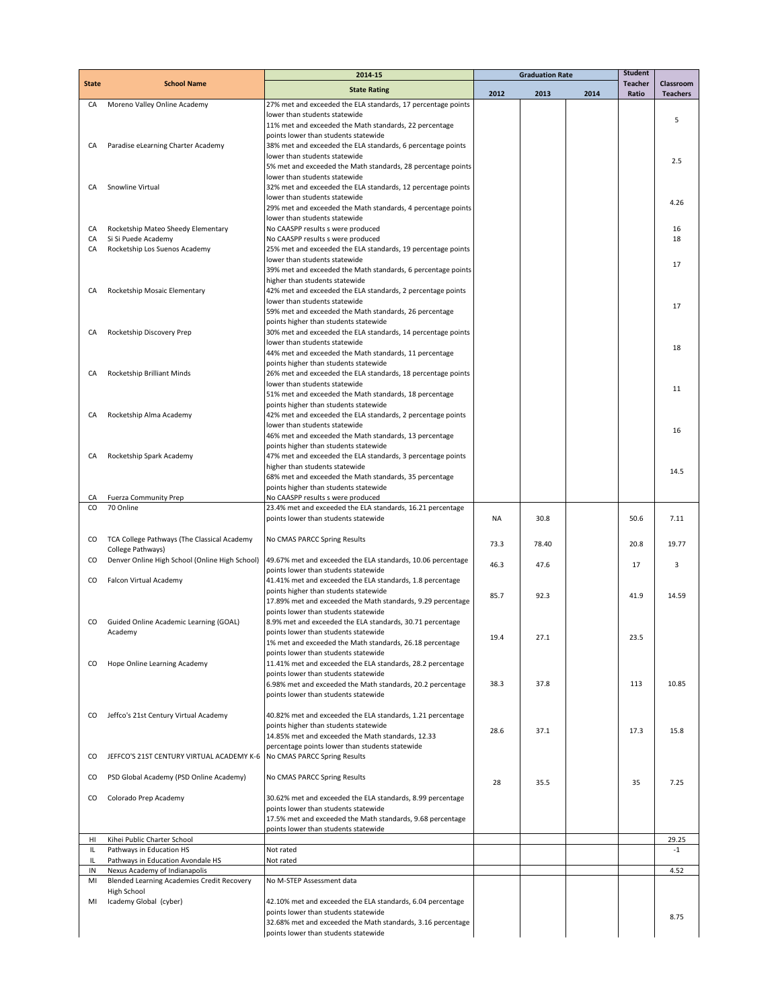|              |                                                           | 2014-15                                                                                              | <b>Graduation Rate</b> |       |      | <b>Student</b>          |                              |
|--------------|-----------------------------------------------------------|------------------------------------------------------------------------------------------------------|------------------------|-------|------|-------------------------|------------------------------|
| <b>State</b> | <b>School Name</b>                                        | <b>State Rating</b>                                                                                  | 2012                   | 2013  | 2014 | <b>Teacher</b><br>Ratio | Classroom<br><b>Teachers</b> |
| CA           | Moreno Valley Online Academy                              | 27% met and exceeded the ELA standards, 17 percentage points                                         |                        |       |      |                         |                              |
|              |                                                           | lower than students statewide                                                                        |                        |       |      |                         | 5                            |
|              |                                                           | 11% met and exceeded the Math standards, 22 percentage                                               |                        |       |      |                         |                              |
|              |                                                           | points lower than students statewide                                                                 |                        |       |      |                         |                              |
| CA           | Paradise eLearning Charter Academy                        | 38% met and exceeded the ELA standards, 6 percentage points                                          |                        |       |      |                         |                              |
|              |                                                           | lower than students statewide<br>5% met and exceeded the Math standards, 28 percentage points        |                        |       |      |                         | 2.5                          |
|              |                                                           | lower than students statewide                                                                        |                        |       |      |                         |                              |
| CA           | Snowline Virtual                                          | 32% met and exceeded the ELA standards, 12 percentage points                                         |                        |       |      |                         |                              |
|              |                                                           | lower than students statewide                                                                        |                        |       |      |                         | 4.26                         |
|              |                                                           | 29% met and exceeded the Math standards, 4 percentage points                                         |                        |       |      |                         |                              |
|              |                                                           | lower than students statewide                                                                        |                        |       |      |                         |                              |
| CA<br>CA     | Rocketship Mateo Sheedy Elementary<br>Si Si Puede Academy | No CAASPP results s were produced<br>No CAASPP results s were produced                               |                        |       |      |                         | 16<br>18                     |
| CA           | Rocketship Los Suenos Academy                             | 25% met and exceeded the ELA standards, 19 percentage points                                         |                        |       |      |                         |                              |
|              |                                                           | lower than students statewide                                                                        |                        |       |      |                         |                              |
|              |                                                           | 39% met and exceeded the Math standards, 6 percentage points                                         |                        |       |      |                         | 17                           |
|              |                                                           | higher than students statewide                                                                       |                        |       |      |                         |                              |
| CA           | Rocketship Mosaic Elementary                              | 42% met and exceeded the ELA standards, 2 percentage points                                          |                        |       |      |                         |                              |
|              |                                                           | lower than students statewide                                                                        |                        |       |      |                         | 17                           |
|              |                                                           | 59% met and exceeded the Math standards, 26 percentage<br>points higher than students statewide      |                        |       |      |                         |                              |
| CA           | Rocketship Discovery Prep                                 | 30% met and exceeded the ELA standards, 14 percentage points                                         |                        |       |      |                         |                              |
|              |                                                           | lower than students statewide                                                                        |                        |       |      |                         |                              |
|              |                                                           | 44% met and exceeded the Math standards, 11 percentage                                               |                        |       |      |                         | 18                           |
|              |                                                           | points higher than students statewide                                                                |                        |       |      |                         |                              |
| CA           | Rocketship Brilliant Minds                                | 26% met and exceeded the ELA standards, 18 percentage points                                         |                        |       |      |                         |                              |
|              |                                                           | lower than students statewide                                                                        |                        |       |      |                         | 11                           |
|              |                                                           | 51% met and exceeded the Math standards, 18 percentage                                               |                        |       |      |                         |                              |
| CA           | Rocketship Alma Academy                                   | points higher than students statewide<br>42% met and exceeded the ELA standards, 2 percentage points |                        |       |      |                         |                              |
|              |                                                           | lower than students statewide                                                                        |                        |       |      |                         |                              |
|              |                                                           | 46% met and exceeded the Math standards, 13 percentage                                               |                        |       |      |                         | 16                           |
|              |                                                           | points higher than students statewide                                                                |                        |       |      |                         |                              |
| CA           | Rocketship Spark Academy                                  | 47% met and exceeded the ELA standards, 3 percentage points                                          |                        |       |      |                         |                              |
|              |                                                           | higher than students statewide                                                                       |                        |       |      |                         | 14.5                         |
|              |                                                           | 68% met and exceeded the Math standards, 35 percentage                                               |                        |       |      |                         |                              |
| CA           | <b>Fuerza Community Prep</b>                              | points higher than students statewide<br>No CAASPP results s were produced                           |                        |       |      |                         |                              |
| CO           | 70 Online                                                 | 23.4% met and exceeded the ELA standards, 16.21 percentage                                           |                        |       |      |                         |                              |
|              |                                                           | points lower than students statewide                                                                 | <b>NA</b>              | 30.8  |      | 50.6                    | 7.11                         |
|              |                                                           |                                                                                                      |                        |       |      |                         |                              |
| CO           | TCA College Pathways (The Classical Academy               | No CMAS PARCC Spring Results                                                                         | 73.3                   | 78.40 |      | 20.8                    | 19.77                        |
|              | College Pathways)                                         |                                                                                                      |                        |       |      |                         |                              |
| co           | Denver Online High School (Online High School)            | 49.67% met and exceeded the ELA standards, 10.06 percentage                                          | 46.3                   | 47.6  |      | 17                      | 3                            |
|              |                                                           | points lower than students statewide<br>41.41% met and exceeded the ELA standards, 1.8 percentage    |                        |       |      |                         |                              |
| co           | Falcon Virtual Academy                                    | points higher than students statewide                                                                |                        |       |      |                         |                              |
|              |                                                           | 17.89% met and exceeded the Math standards, 9.29 percentage                                          | 85.7                   | 92.3  |      | 41.9                    | 14.59                        |
|              |                                                           | points lower than students statewide                                                                 |                        |       |      |                         |                              |
| CO           | Guided Online Academic Learning (GOAL)                    | 8.9% met and exceeded the ELA standards, 30.71 percentage                                            |                        |       |      |                         |                              |
|              | Academy                                                   | points lower than students statewide                                                                 | 19.4                   | 27.1  |      | 23.5                    |                              |
|              |                                                           | 1% met and exceeded the Math standards, 26.18 percentage                                             |                        |       |      |                         |                              |
|              |                                                           | points lower than students statewide                                                                 |                        |       |      |                         |                              |
| CO           | Hope Online Learning Academy                              | 11.41% met and exceeded the ELA standards, 28.2 percentage<br>points lower than students statewide   |                        |       |      |                         |                              |
|              |                                                           | 6.98% met and exceeded the Math standards, 20.2 percentage                                           | 38.3                   | 37.8  |      | 113                     | 10.85                        |
|              |                                                           | points lower than students statewide                                                                 |                        |       |      |                         |                              |
|              |                                                           |                                                                                                      |                        |       |      |                         |                              |
| CO           | Jeffco's 21st Century Virtual Academy                     | 40.82% met and exceeded the ELA standards, 1.21 percentage                                           |                        |       |      |                         |                              |
|              |                                                           | points higher than students statewide                                                                | 28.6                   | 37.1  |      | 17.3                    | 15.8                         |
|              |                                                           | 14.85% met and exceeded the Math standards, 12.33                                                    |                        |       |      |                         |                              |
| co           | JEFFCO'S 21ST CENTURY VIRTUAL ACADEMY K-6                 | percentage points lower than students statewide<br>No CMAS PARCC Spring Results                      |                        |       |      |                         |                              |
|              |                                                           |                                                                                                      |                        |       |      |                         |                              |
| co           | PSD Global Academy (PSD Online Academy)                   | No CMAS PARCC Spring Results                                                                         |                        |       |      |                         |                              |
|              |                                                           |                                                                                                      | 28                     | 35.5  |      | 35                      | 7.25                         |
| co           | Colorado Prep Academy                                     | 30.62% met and exceeded the ELA standards, 8.99 percentage                                           |                        |       |      |                         |                              |
|              |                                                           | points lower than students statewide                                                                 |                        |       |      |                         |                              |
|              |                                                           | 17.5% met and exceeded the Math standards, 9.68 percentage                                           |                        |       |      |                         |                              |
| HI           | Kihei Public Charter School                               | points lower than students statewide                                                                 |                        |       |      |                         | 29.25                        |
| IL           | Pathways in Education HS                                  | Not rated                                                                                            |                        |       |      |                         | $-1$                         |
| IL           | Pathways in Education Avondale HS                         | Not rated                                                                                            |                        |       |      |                         |                              |
| IN           | Nexus Academy of Indianapolis                             |                                                                                                      |                        |       |      |                         | 4.52                         |
| MI           | Blended Learning Academies Credit Recovery                | No M-STEP Assessment data                                                                            |                        |       |      |                         |                              |
|              | High School                                               |                                                                                                      |                        |       |      |                         |                              |
| MI           | Icademy Global (cyber)                                    | 42.10% met and exceeded the ELA standards, 6.04 percentage                                           |                        |       |      |                         |                              |
|              |                                                           | points lower than students statewide<br>32.68% met and exceeded the Math standards, 3.16 percentage  |                        |       |      |                         | 8.75                         |
|              |                                                           | points lower than students statewide                                                                 |                        |       |      |                         |                              |
|              |                                                           |                                                                                                      |                        |       |      |                         |                              |